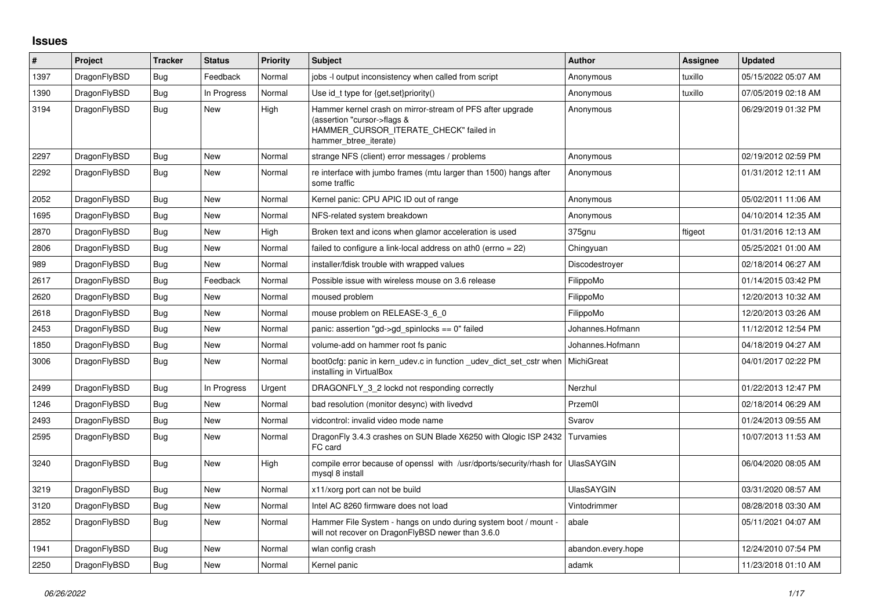## **Issues**

| #    | Project      | <b>Tracker</b> | <b>Status</b> | <b>Priority</b> | <b>Subject</b>                                                                                                                                              | <b>Author</b>      | Assignee | <b>Updated</b>      |
|------|--------------|----------------|---------------|-----------------|-------------------------------------------------------------------------------------------------------------------------------------------------------------|--------------------|----------|---------------------|
| 1397 | DragonFlyBSD | Bug            | Feedback      | Normal          | jobs -I output inconsistency when called from script                                                                                                        | Anonymous          | tuxillo  | 05/15/2022 05:07 AM |
| 1390 | DragonFlyBSD | Bug            | In Progress   | Normal          | Use id t type for $\{get, set\}$ priority()                                                                                                                 | Anonymous          | tuxillo  | 07/05/2019 02:18 AM |
| 3194 | DragonFlyBSD | <b>Bug</b>     | New           | High            | Hammer kernel crash on mirror-stream of PFS after upgrade<br>(assertion "cursor->flags &<br>HAMMER_CURSOR_ITERATE_CHECK" failed in<br>hammer btree iterate) | Anonymous          |          | 06/29/2019 01:32 PM |
| 2297 | DragonFlyBSD | Bug            | New           | Normal          | strange NFS (client) error messages / problems                                                                                                              | Anonymous          |          | 02/19/2012 02:59 PM |
| 2292 | DragonFlyBSD | Bug            | New           | Normal          | re interface with jumbo frames (mtu larger than 1500) hangs after<br>some traffic                                                                           | Anonymous          |          | 01/31/2012 12:11 AM |
| 2052 | DragonFlyBSD | <b>Bug</b>     | New           | Normal          | Kernel panic: CPU APIC ID out of range                                                                                                                      | Anonymous          |          | 05/02/2011 11:06 AM |
| 1695 | DragonFlyBSD | Bug            | New           | Normal          | NFS-related system breakdown                                                                                                                                | Anonymous          |          | 04/10/2014 12:35 AM |
| 2870 | DragonFlyBSD | Bug            | <b>New</b>    | High            | Broken text and icons when glamor acceleration is used                                                                                                      | 375gnu             | ftigeot  | 01/31/2016 12:13 AM |
| 2806 | DragonFlyBSD | Bug            | New           | Normal          | failed to configure a link-local address on ath0 (errno = 22)                                                                                               | Chingyuan          |          | 05/25/2021 01:00 AM |
| 989  | DragonFlyBSD | <b>Bug</b>     | New           | Normal          | installer/fdisk trouble with wrapped values                                                                                                                 | Discodestroyer     |          | 02/18/2014 06:27 AM |
| 2617 | DragonFlyBSD | Bug            | Feedback      | Normal          | Possible issue with wireless mouse on 3.6 release                                                                                                           | FilippoMo          |          | 01/14/2015 03:42 PM |
| 2620 | DragonFlyBSD | Bug            | New           | Normal          | moused problem                                                                                                                                              | FilippoMo          |          | 12/20/2013 10:32 AM |
| 2618 | DragonFlyBSD | <b>Bug</b>     | <b>New</b>    | Normal          | mouse problem on RELEASE-3_6_0                                                                                                                              | FilippoMo          |          | 12/20/2013 03:26 AM |
| 2453 | DragonFlyBSD | Bug            | New           | Normal          | panic: assertion "gd->gd spinlocks == $0$ " failed                                                                                                          | Johannes.Hofmann   |          | 11/12/2012 12:54 PM |
| 1850 | DragonFlyBSD | Bug            | New           | Normal          | volume-add on hammer root fs panic                                                                                                                          | Johannes.Hofmann   |          | 04/18/2019 04:27 AM |
| 3006 | DragonFlyBSD | <b>Bug</b>     | New           | Normal          | boot0cfg: panic in kern udev.c in function udev dict set cstr when<br>installing in VirtualBox                                                              | <b>MichiGreat</b>  |          | 04/01/2017 02:22 PM |
| 2499 | DragonFlyBSD | Bug            | In Progress   | Urgent          | DRAGONFLY 3 2 lockd not responding correctly                                                                                                                | Nerzhul            |          | 01/22/2013 12:47 PM |
| 1246 | DragonFlyBSD | <b>Bug</b>     | New           | Normal          | bad resolution (monitor desync) with livedvd                                                                                                                | Przem0l            |          | 02/18/2014 06:29 AM |
| 2493 | DragonFlyBSD | Bug            | <b>New</b>    | Normal          | vidcontrol: invalid video mode name                                                                                                                         | Svarov             |          | 01/24/2013 09:55 AM |
| 2595 | DragonFlyBSD | Bug            | New           | Normal          | DragonFly 3.4.3 crashes on SUN Blade X6250 with Qlogic ISP 2432<br>FC card                                                                                  | Turvamies          |          | 10/07/2013 11:53 AM |
| 3240 | DragonFlyBSD | Bug            | New           | High            | compile error because of openssl with /usr/dports/security/rhash for<br>mysgl 8 install                                                                     | <b>UlasSAYGIN</b>  |          | 06/04/2020 08:05 AM |
| 3219 | DragonFlyBSD | <b>Bug</b>     | New           | Normal          | x11/xorg port can not be build                                                                                                                              | <b>UlasSAYGIN</b>  |          | 03/31/2020 08:57 AM |
| 3120 | DragonFlyBSD | <b>Bug</b>     | New           | Normal          | Intel AC 8260 firmware does not load                                                                                                                        | Vintodrimmer       |          | 08/28/2018 03:30 AM |
| 2852 | DragonFlyBSD | <b>Bug</b>     | New           | Normal          | Hammer File System - hangs on undo during system boot / mount -<br>will not recover on DragonFlyBSD newer than 3.6.0                                        | abale              |          | 05/11/2021 04:07 AM |
| 1941 | DragonFlyBSD | Bug            | <b>New</b>    | Normal          | wlan config crash                                                                                                                                           | abandon.every.hope |          | 12/24/2010 07:54 PM |
| 2250 | DragonFlyBSD | <b>Bug</b>     | New           | Normal          | Kernel panic                                                                                                                                                | adamk              |          | 11/23/2018 01:10 AM |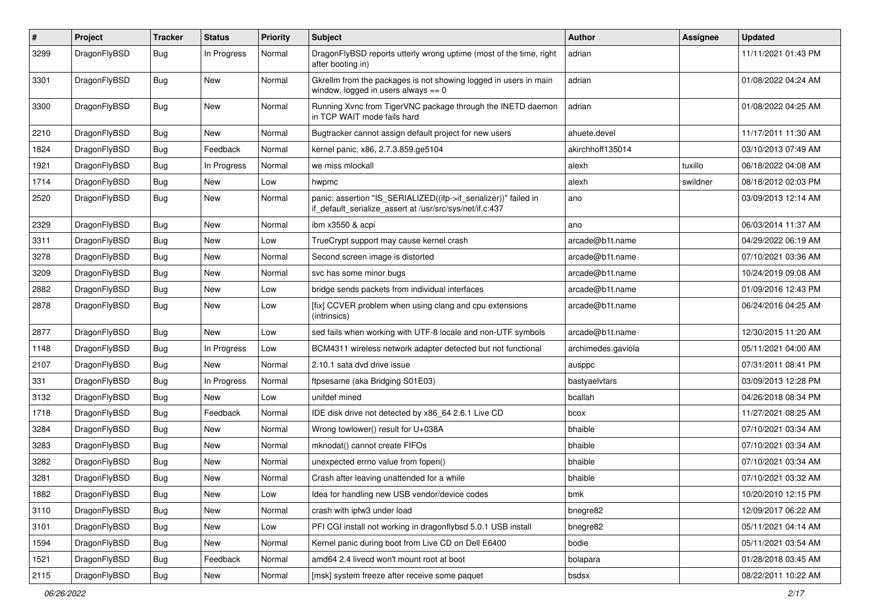| $\pmb{\#}$ | Project      | <b>Tracker</b> | <b>Status</b> | <b>Priority</b> | <b>Subject</b>                                                                                                               | Author             | Assignee | <b>Updated</b>      |
|------------|--------------|----------------|---------------|-----------------|------------------------------------------------------------------------------------------------------------------------------|--------------------|----------|---------------------|
| 3299       | DragonFlyBSD | <b>Bug</b>     | In Progress   | Normal          | DragonFlyBSD reports utterly wrong uptime (most of the time, right<br>after booting in)                                      | adrian             |          | 11/11/2021 01:43 PM |
| 3301       | DragonFlyBSD | <b>Bug</b>     | <b>New</b>    | Normal          | Gkrellm from the packages is not showing logged in users in main<br>window, logged in users always $== 0$                    | adrian             |          | 01/08/2022 04:24 AM |
| 3300       | DragonFlyBSD | Bug            | <b>New</b>    | Normal          | Running Xvnc from TigerVNC package through the INETD daemon<br>in TCP WAIT mode fails hard                                   | adrian             |          | 01/08/2022 04:25 AM |
| 2210       | DragonFlyBSD | Bug            | New           | Normal          | Bugtracker cannot assign default project for new users                                                                       | ahuete.devel       |          | 11/17/2011 11:30 AM |
| 1824       | DragonFlyBSD | Bug            | Feedback      | Normal          | kernel panic, x86, 2.7.3.859.ge5104                                                                                          | akirchhoff135014   |          | 03/10/2013 07:49 AM |
| 1921       | DragonFlyBSD | <b>Bug</b>     | In Progress   | Normal          | we miss mlockall                                                                                                             | alexh              | tuxillo  | 06/18/2022 04:08 AM |
| 1714       | DragonFlyBSD | <b>Bug</b>     | <b>New</b>    | Low             | hwpmc                                                                                                                        | alexh              | swildner | 08/18/2012 02:03 PM |
| 2520       | DragonFlyBSD | <b>Bug</b>     | New           | Normal          | panic: assertion "IS_SERIALIZED((ifp->if_serializer))" failed in<br>if default serialize assert at /usr/src/sys/net/if.c:437 | ano                |          | 03/09/2013 12:14 AM |
| 2329       | DragonFlyBSD | <b>Bug</b>     | <b>New</b>    | Normal          | ibm x3550 & acpi                                                                                                             | ano                |          | 06/03/2014 11:37 AM |
| 3311       | DragonFlyBSD | <b>Bug</b>     | New           | Low             | TrueCrypt support may cause kernel crash                                                                                     | arcade@b1t.name    |          | 04/29/2022 06:19 AM |
| 3278       | DragonFlyBSD | Bug            | <b>New</b>    | Normal          | Second screen image is distorted                                                                                             | arcade@b1t.name    |          | 07/10/2021 03:36 AM |
| 3209       | DragonFlyBSD | Bug            | New           | Normal          | svc has some minor bugs                                                                                                      | arcade@b1t.name    |          | 10/24/2019 09:08 AM |
| 2882       | DragonFlyBSD | <b>Bug</b>     | New           | Low             | bridge sends packets from individual interfaces                                                                              | arcade@b1t.name    |          | 01/09/2016 12:43 PM |
| 2878       | DragonFlyBSD | Bug            | New           | Low             | [fix] CCVER problem when using clang and cpu extensions<br>(intrinsics)                                                      | arcade@b1t.name    |          | 06/24/2016 04:25 AM |
| 2877       | DragonFlyBSD | Bug            | New           | Low             | sed fails when working with UTF-8 locale and non-UTF symbols                                                                 | arcade@b1t.name    |          | 12/30/2015 11:20 AM |
| 1148       | DragonFlyBSD | <b>Bug</b>     | In Progress   | Low             | BCM4311 wireless network adapter detected but not functional                                                                 | archimedes.gaviola |          | 05/11/2021 04:00 AM |
| 2107       | DragonFlyBSD | <b>Bug</b>     | New           | Normal          | 2.10.1 sata dvd drive issue                                                                                                  | ausppc             |          | 07/31/2011 08:41 PM |
| 331        | DragonFlyBSD | Bug            | In Progress   | Normal          | ftpsesame (aka Bridging S01E03)                                                                                              | bastyaelvtars      |          | 03/09/2013 12:28 PM |
| 3132       | DragonFlyBSD | <b>Bug</b>     | New           | Low             | unifdef mined                                                                                                                | bcallah            |          | 04/26/2018 08:34 PM |
| 1718       | DragonFlyBSD | <b>Bug</b>     | Feedback      | Normal          | IDE disk drive not detected by x86_64 2.6.1 Live CD                                                                          | bcox               |          | 11/27/2021 08:25 AM |
| 3284       | DragonFlyBSD | Bug            | <b>New</b>    | Normal          | Wrong towlower() result for U+038A                                                                                           | bhaible            |          | 07/10/2021 03:34 AM |
| 3283       | DragonFlyBSD | Bug            | New           | Normal          | mknodat() cannot create FIFOs                                                                                                | bhaible            |          | 07/10/2021 03:34 AM |
| 3282       | DragonFlyBSD | <b>Bug</b>     | <b>New</b>    | Normal          | unexpected errno value from fopen()                                                                                          | bhaible            |          | 07/10/2021 03:34 AM |
| 3281       | DragonFlyBSD | Bug            | New           | Normal          | Crash after leaving unattended for a while                                                                                   | bhaible            |          | 07/10/2021 03:32 AM |
| 1882       | DragonFlyBSD | <b>Bug</b>     | New           | LOW             | Idea for handling new USB vendor/device codes                                                                                | bmk                |          | 10/20/2010 12:15 PM |
| 3110       | DragonFlyBSD | <b>Bug</b>     | New           | Normal          | crash with ipfw3 under load                                                                                                  | bnegre82           |          | 12/09/2017 06:22 AM |
| 3101       | DragonFlyBSD | <b>Bug</b>     | New           | Low             | PFI CGI install not working in dragonflybsd 5.0.1 USB install                                                                | bnegre82           |          | 05/11/2021 04:14 AM |
| 1594       | DragonFlyBSD | Bug            | New           | Normal          | Kernel panic during boot from Live CD on Dell E6400                                                                          | bodie              |          | 05/11/2021 03:54 AM |
| 1521       | DragonFlyBSD | <b>Bug</b>     | Feedback      | Normal          | amd64 2.4 livecd won't mount root at boot                                                                                    | bolapara           |          | 01/28/2018 03:45 AM |
| 2115       | DragonFlyBSD | Bug            | New           | Normal          | [msk] system freeze after receive some paquet                                                                                | bsdsx              |          | 08/22/2011 10:22 AM |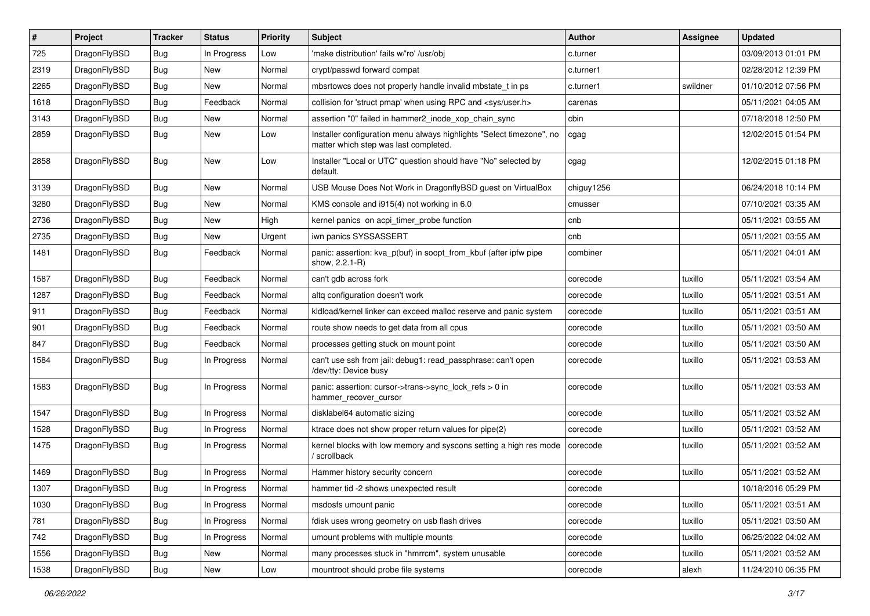| #    | Project      | <b>Tracker</b> | <b>Status</b> | <b>Priority</b> | <b>Subject</b>                                                                                                | <b>Author</b> | Assignee | <b>Updated</b>      |
|------|--------------|----------------|---------------|-----------------|---------------------------------------------------------------------------------------------------------------|---------------|----------|---------------------|
| 725  | DragonFlyBSD | <b>Bug</b>     | In Progress   | Low             | 'make distribution' fails w/'ro' /usr/obj                                                                     | c.turner      |          | 03/09/2013 01:01 PM |
| 2319 | DragonFlyBSD | <b>Bug</b>     | <b>New</b>    | Normal          | crypt/passwd forward compat                                                                                   | c.turner1     |          | 02/28/2012 12:39 PM |
| 2265 | DragonFlyBSD | <b>Bug</b>     | New           | Normal          | mbsrtowcs does not properly handle invalid mbstate t in ps                                                    | c.turner1     | swildner | 01/10/2012 07:56 PM |
| 1618 | DragonFlyBSD | Bug            | Feedback      | Normal          | collision for 'struct pmap' when using RPC and <sys user.h=""></sys>                                          | carenas       |          | 05/11/2021 04:05 AM |
| 3143 | DragonFlyBSD | <b>Bug</b>     | <b>New</b>    | Normal          | assertion "0" failed in hammer2_inode_xop_chain_sync                                                          | cbin          |          | 07/18/2018 12:50 PM |
| 2859 | DragonFlyBSD | Bug            | New           | Low             | Installer configuration menu always highlights "Select timezone", no<br>matter which step was last completed. | cgag          |          | 12/02/2015 01:54 PM |
| 2858 | DragonFlyBSD | <b>Bug</b>     | New           | Low             | Installer "Local or UTC" question should have "No" selected by<br>default.                                    | cgag          |          | 12/02/2015 01:18 PM |
| 3139 | DragonFlyBSD | Bug            | <b>New</b>    | Normal          | USB Mouse Does Not Work in DragonflyBSD guest on VirtualBox                                                   | chiguy1256    |          | 06/24/2018 10:14 PM |
| 3280 | DragonFlyBSD | <b>Bug</b>     | <b>New</b>    | Normal          | KMS console and i915(4) not working in 6.0                                                                    | cmusser       |          | 07/10/2021 03:35 AM |
| 2736 | DragonFlyBSD | Bug            | <b>New</b>    | High            | kernel panics on acpi timer probe function                                                                    | cnb           |          | 05/11/2021 03:55 AM |
| 2735 | DragonFlyBSD | <b>Bug</b>     | <b>New</b>    | Urgent          | iwn panics SYSSASSERT                                                                                         | cnb           |          | 05/11/2021 03:55 AM |
| 1481 | DragonFlyBSD | Bug            | Feedback      | Normal          | panic: assertion: kva_p(buf) in soopt_from_kbuf (after ipfw pipe<br>show, 2.2.1-R)                            | combiner      |          | 05/11/2021 04:01 AM |
| 1587 | DragonFlyBSD | <b>Bug</b>     | Feedback      | Normal          | can't gdb across fork                                                                                         | corecode      | tuxillo  | 05/11/2021 03:54 AM |
| 1287 | DragonFlyBSD | <b>Bug</b>     | Feedback      | Normal          | altq configuration doesn't work                                                                               | corecode      | tuxillo  | 05/11/2021 03:51 AM |
| 911  | DragonFlyBSD | <b>Bug</b>     | Feedback      | Normal          | kldload/kernel linker can exceed malloc reserve and panic system                                              | corecode      | tuxillo  | 05/11/2021 03:51 AM |
| 901  | DragonFlyBSD | <b>Bug</b>     | Feedback      | Normal          | route show needs to get data from all cpus                                                                    | corecode      | tuxillo  | 05/11/2021 03:50 AM |
| 847  | DragonFlyBSD | Bug            | Feedback      | Normal          | processes getting stuck on mount point                                                                        | corecode      | tuxillo  | 05/11/2021 03:50 AM |
| 1584 | DragonFlyBSD | <b>Bug</b>     | In Progress   | Normal          | can't use ssh from jail: debug1: read_passphrase: can't open<br>/dev/tty: Device busy                         | corecode      | tuxillo  | 05/11/2021 03:53 AM |
| 1583 | DragonFlyBSD | Bug            | In Progress   | Normal          | panic: assertion: cursor->trans->sync_lock_refs > 0 in<br>hammer_recover_cursor                               | corecode      | tuxillo  | 05/11/2021 03:53 AM |
| 1547 | DragonFlyBSD | <b>Bug</b>     | In Progress   | Normal          | disklabel64 automatic sizing                                                                                  | corecode      | tuxillo  | 05/11/2021 03:52 AM |
| 1528 | DragonFlyBSD | <b>Bug</b>     | In Progress   | Normal          | ktrace does not show proper return values for pipe(2)                                                         | corecode      | tuxillo  | 05/11/2021 03:52 AM |
| 1475 | DragonFlyBSD | <b>Bug</b>     | In Progress   | Normal          | kernel blocks with low memory and syscons setting a high res mode<br>/ scrollback                             | corecode      | tuxillo  | 05/11/2021 03:52 AM |
| 1469 | DragonFlyBSD | Bug            | In Progress   | Normal          | Hammer history security concern                                                                               | corecode      | tuxillo  | 05/11/2021 03:52 AM |
| 1307 | DragonFlyBSD | Bug            | In Progress   | Normal          | hammer tid -2 shows unexpected result                                                                         | corecode      |          | 10/18/2016 05:29 PM |
| 1030 | DragonFlyBSD | Bug            | In Progress   | Normal          | msdosfs umount panic                                                                                          | corecode      | tuxillo  | 05/11/2021 03:51 AM |
| 781  | DragonFlyBSD | <b>Bug</b>     | In Progress   | Normal          | fdisk uses wrong geometry on usb flash drives                                                                 | corecode      | tuxillo  | 05/11/2021 03:50 AM |
| 742  | DragonFlyBSD | <b>Bug</b>     | In Progress   | Normal          | umount problems with multiple mounts                                                                          | corecode      | tuxillo  | 06/25/2022 04:02 AM |
| 1556 | DragonFlyBSD | Bug            | New           | Normal          | many processes stuck in "hmrrcm", system unusable                                                             | corecode      | tuxillo  | 05/11/2021 03:52 AM |
| 1538 | DragonFlyBSD | Bug            | New           | Low             | mountroot should probe file systems                                                                           | corecode      | alexh    | 11/24/2010 06:35 PM |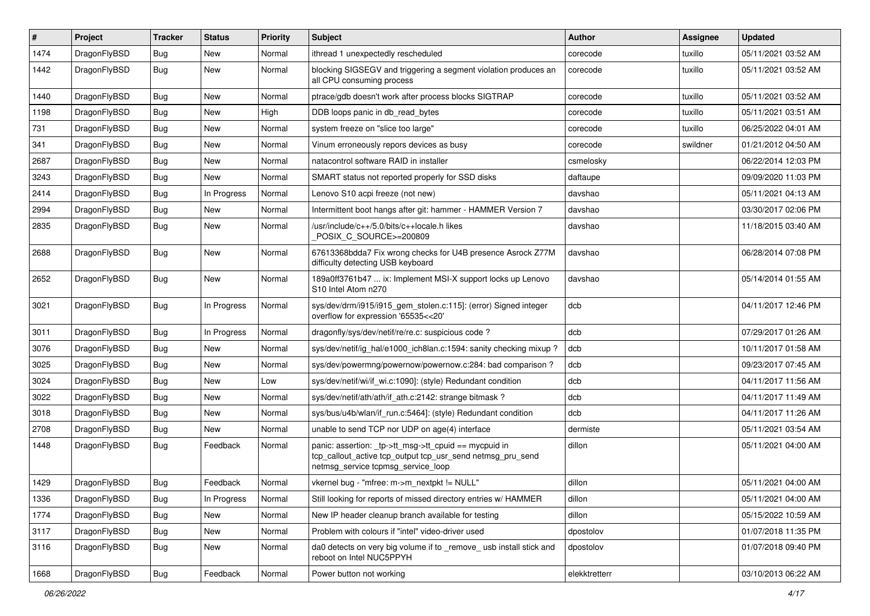| $\vert$ # | Project      | <b>Tracker</b> | <b>Status</b> | <b>Priority</b> | <b>Subject</b>                                                                                                                                            | Author        | Assignee | <b>Updated</b>      |
|-----------|--------------|----------------|---------------|-----------------|-----------------------------------------------------------------------------------------------------------------------------------------------------------|---------------|----------|---------------------|
| 1474      | DragonFlyBSD | Bug            | New           | Normal          | ithread 1 unexpectedly rescheduled                                                                                                                        | corecode      | tuxillo  | 05/11/2021 03:52 AM |
| 1442      | DragonFlyBSD | Bug            | New           | Normal          | blocking SIGSEGV and triggering a segment violation produces an<br>all CPU consuming process                                                              | corecode      | tuxillo  | 05/11/2021 03:52 AM |
| 1440      | DragonFlyBSD | Bug            | <b>New</b>    | Normal          | ptrace/gdb doesn't work after process blocks SIGTRAP                                                                                                      | corecode      | tuxillo  | 05/11/2021 03:52 AM |
| 1198      | DragonFlyBSD | <b>Bug</b>     | <b>New</b>    | High            | DDB loops panic in db_read_bytes                                                                                                                          | corecode      | tuxillo  | 05/11/2021 03:51 AM |
| 731       | DragonFlyBSD | <b>Bug</b>     | New           | Normal          | system freeze on "slice too large"                                                                                                                        | corecode      | tuxillo  | 06/25/2022 04:01 AM |
| 341       | DragonFlyBSD | <b>Bug</b>     | <b>New</b>    | Normal          | Vinum erroneously repors devices as busy                                                                                                                  | corecode      | swildner | 01/21/2012 04:50 AM |
| 2687      | DragonFlyBSD | <b>Bug</b>     | New           | Normal          | natacontrol software RAID in installer                                                                                                                    | csmelosky     |          | 06/22/2014 12:03 PM |
| 3243      | DragonFlyBSD | <b>Bug</b>     | New           | Normal          | SMART status not reported properly for SSD disks                                                                                                          | daftaupe      |          | 09/09/2020 11:03 PM |
| 2414      | DragonFlyBSD | <b>Bug</b>     | In Progress   | Normal          | Lenovo S10 acpi freeze (not new)                                                                                                                          | davshao       |          | 05/11/2021 04:13 AM |
| 2994      | DragonFlyBSD | <b>Bug</b>     | New           | Normal          | Intermittent boot hangs after git: hammer - HAMMER Version 7                                                                                              | davshao       |          | 03/30/2017 02:06 PM |
| 2835      | DragonFlyBSD | Bug            | New           | Normal          | /usr/include/c++/5.0/bits/c++locale.h likes<br>POSIX C_SOURCE>=200809                                                                                     | davshao       |          | 11/18/2015 03:40 AM |
| 2688      | DragonFlyBSD | Bug            | New           | Normal          | 67613368bdda7 Fix wrong checks for U4B presence Asrock Z77M<br>difficulty detecting USB keyboard                                                          | davshao       |          | 06/28/2014 07:08 PM |
| 2652      | DragonFlyBSD | Bug            | New           | Normal          | 189a0ff3761b47  ix: Implement MSI-X support locks up Lenovo<br>S10 Intel Atom n270                                                                        | davshao       |          | 05/14/2014 01:55 AM |
| 3021      | DragonFlyBSD | Bug            | In Progress   | Normal          | sys/dev/drm/i915/i915_gem_stolen.c:115]: (error) Signed integer<br>overflow for expression '65535<<20'                                                    | dcb           |          | 04/11/2017 12:46 PM |
| 3011      | DragonFlyBSD | Bug            | In Progress   | Normal          | dragonfly/sys/dev/netif/re/re.c: suspicious code?                                                                                                         | dcb           |          | 07/29/2017 01:26 AM |
| 3076      | DragonFlyBSD | <b>Bug</b>     | New           | Normal          | sys/dev/netif/ig_hal/e1000_ich8lan.c:1594: sanity checking mixup?                                                                                         | dcb           |          | 10/11/2017 01:58 AM |
| 3025      | DragonFlyBSD | <b>Bug</b>     | New           | Normal          | sys/dev/powermng/powernow/powernow.c:284: bad comparison?                                                                                                 | dcb           |          | 09/23/2017 07:45 AM |
| 3024      | DragonFlyBSD | <b>Bug</b>     | <b>New</b>    | Low             | sys/dev/netif/wi/if_wi.c:1090]: (style) Redundant condition                                                                                               | dcb           |          | 04/11/2017 11:56 AM |
| 3022      | DragonFlyBSD | <b>Bug</b>     | New           | Normal          | sys/dev/netif/ath/ath/if ath.c:2142: strange bitmask?                                                                                                     | dcb           |          | 04/11/2017 11:49 AM |
| 3018      | DragonFlyBSD | <b>Bug</b>     | <b>New</b>    | Normal          | sys/bus/u4b/wlan/if_run.c:5464]: (style) Redundant condition                                                                                              | dcb           |          | 04/11/2017 11:26 AM |
| 2708      | DragonFlyBSD | <b>Bug</b>     | New           | Normal          | unable to send TCP nor UDP on age(4) interface                                                                                                            | dermiste      |          | 05/11/2021 03:54 AM |
| 1448      | DragonFlyBSD | Bug            | Feedback      | Normal          | panic: assertion: _tp->tt_msg->tt_cpuid == mycpuid in<br>tcp_callout_active tcp_output tcp_usr_send netmsg_pru_send<br>netmsg_service tcpmsg_service_loop | dillon        |          | 05/11/2021 04:00 AM |
| 1429      | DragonFlyBSD | <b>Bug</b>     | Feedback      | Normal          | vkernel bug - "mfree: m->m_nextpkt != NULL"                                                                                                               | dillon        |          | 05/11/2021 04:00 AM |
| 1336      | DragonFlyBSD | <b>Bug</b>     | In Progress   | Normal          | Still looking for reports of missed directory entries w/ HAMMER                                                                                           | dillon        |          | 05/11/2021 04:00 AM |
| 1774      | DragonFlyBSD | <b>Bug</b>     | New           | Normal          | New IP header cleanup branch available for testing                                                                                                        | dillon        |          | 05/15/2022 10:59 AM |
| 3117      | DragonFlyBSD | <b>Bug</b>     | New           | Normal          | Problem with colours if "intel" video-driver used                                                                                                         | dpostolov     |          | 01/07/2018 11:35 PM |
| 3116      | DragonFlyBSD | <b>Bug</b>     | New           | Normal          | da0 detects on very big volume if to _remove_ usb install stick and<br>reboot on Intel NUC5PPYH                                                           | dpostolov     |          | 01/07/2018 09:40 PM |
| 1668      | DragonFlyBSD | <b>Bug</b>     | Feedback      | Normal          | Power button not working                                                                                                                                  | elekktretterr |          | 03/10/2013 06:22 AM |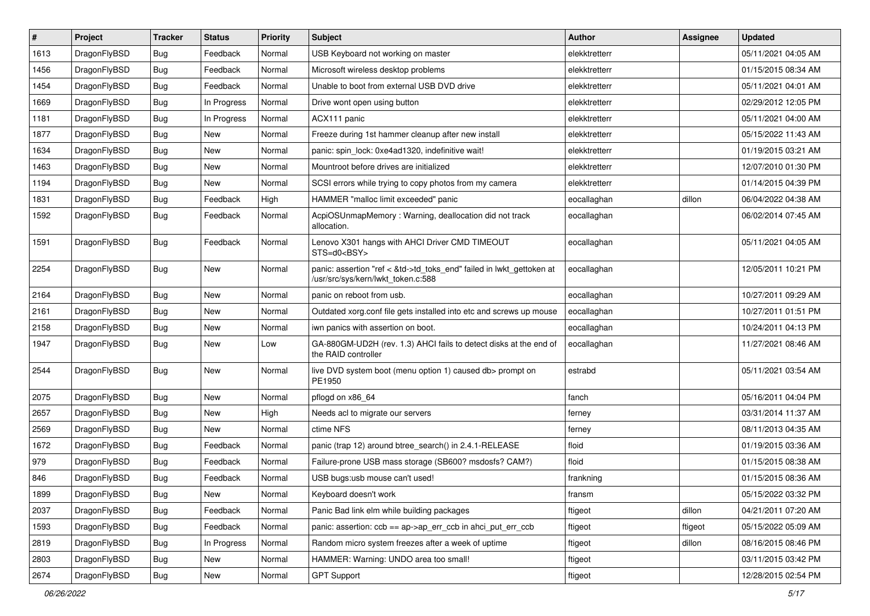| $\sharp$ | Project      | <b>Tracker</b> | <b>Status</b> | <b>Priority</b> | Subject                                                                                                    | <b>Author</b> | Assignee | <b>Updated</b>      |
|----------|--------------|----------------|---------------|-----------------|------------------------------------------------------------------------------------------------------------|---------------|----------|---------------------|
| 1613     | DragonFlyBSD | <b>Bug</b>     | Feedback      | Normal          | USB Keyboard not working on master                                                                         | elekktretterr |          | 05/11/2021 04:05 AM |
| 1456     | DragonFlyBSD | <b>Bug</b>     | Feedback      | Normal          | Microsoft wireless desktop problems                                                                        | elekktretterr |          | 01/15/2015 08:34 AM |
| 1454     | DragonFlyBSD | <b>Bug</b>     | Feedback      | Normal          | Unable to boot from external USB DVD drive                                                                 | elekktretterr |          | 05/11/2021 04:01 AM |
| 1669     | DragonFlyBSD | <b>Bug</b>     | In Progress   | Normal          | Drive wont open using button                                                                               | elekktretterr |          | 02/29/2012 12:05 PM |
| 1181     | DragonFlyBSD | <b>Bug</b>     | In Progress   | Normal          | ACX111 panic                                                                                               | elekktretterr |          | 05/11/2021 04:00 AM |
| 1877     | DragonFlyBSD | <b>Bug</b>     | <b>New</b>    | Normal          | Freeze during 1st hammer cleanup after new install                                                         | elekktretterr |          | 05/15/2022 11:43 AM |
| 1634     | DragonFlyBSD | <b>Bug</b>     | New           | Normal          | panic: spin lock: 0xe4ad1320, indefinitive wait!                                                           | elekktretterr |          | 01/19/2015 03:21 AM |
| 1463     | DragonFlyBSD | <b>Bug</b>     | New           | Normal          | Mountroot before drives are initialized                                                                    | elekktretterr |          | 12/07/2010 01:30 PM |
| 1194     | DragonFlyBSD | <b>Bug</b>     | New           | Normal          | SCSI errors while trying to copy photos from my camera                                                     | elekktretterr |          | 01/14/2015 04:39 PM |
| 1831     | DragonFlyBSD | <b>Bug</b>     | Feedback      | High            | HAMMER "malloc limit exceeded" panic                                                                       | eocallaghan   | dillon   | 06/04/2022 04:38 AM |
| 1592     | DragonFlyBSD | <b>Bug</b>     | Feedback      | Normal          | AcpiOSUnmapMemory: Warning, deallocation did not track<br>allocation.                                      | eocallaghan   |          | 06/02/2014 07:45 AM |
| 1591     | DragonFlyBSD | Bug            | Feedback      | Normal          | Lenovo X301 hangs with AHCI Driver CMD TIMEOUT<br>STS=d0 <bsy></bsy>                                       | eocallaghan   |          | 05/11/2021 04:05 AM |
| 2254     | DragonFlyBSD | <b>Bug</b>     | New           | Normal          | panic: assertion "ref < &td->td_toks_end" failed in lwkt_gettoken at<br>/usr/src/sys/kern/lwkt_token.c:588 | eocallaghan   |          | 12/05/2011 10:21 PM |
| 2164     | DragonFlyBSD | <b>Bug</b>     | <b>New</b>    | Normal          | panic on reboot from usb.                                                                                  | eocallaghan   |          | 10/27/2011 09:29 AM |
| 2161     | DragonFlyBSD | <b>Bug</b>     | <b>New</b>    | Normal          | Outdated xorg.conf file gets installed into etc and screws up mouse                                        | eocallaghan   |          | 10/27/2011 01:51 PM |
| 2158     | DragonFlyBSD | <b>Bug</b>     | New           | Normal          | iwn panics with assertion on boot.                                                                         | eocallaghan   |          | 10/24/2011 04:13 PM |
| 1947     | DragonFlyBSD | <b>Bug</b>     | New           | Low             | GA-880GM-UD2H (rev. 1.3) AHCI fails to detect disks at the end of<br>the RAID controller                   | eocallaghan   |          | 11/27/2021 08:46 AM |
| 2544     | DragonFlyBSD | Bug            | New           | Normal          | live DVD system boot (menu option 1) caused db> prompt on<br>PE1950                                        | estrabd       |          | 05/11/2021 03:54 AM |
| 2075     | DragonFlyBSD | <b>Bug</b>     | New           | Normal          | pflogd on x86_64                                                                                           | fanch         |          | 05/16/2011 04:04 PM |
| 2657     | DragonFlyBSD | <b>Bug</b>     | New           | High            | Needs acl to migrate our servers                                                                           | ferney        |          | 03/31/2014 11:37 AM |
| 2569     | DragonFlyBSD | Bug            | New           | Normal          | ctime NFS                                                                                                  | ferney        |          | 08/11/2013 04:35 AM |
| 1672     | DragonFlyBSD | Bug            | Feedback      | Normal          | panic (trap 12) around btree_search() in 2.4.1-RELEASE                                                     | floid         |          | 01/19/2015 03:36 AM |
| 979      | DragonFlyBSD | <b>Bug</b>     | Feedback      | Normal          | Failure-prone USB mass storage (SB600? msdosfs? CAM?)                                                      | floid         |          | 01/15/2015 08:38 AM |
| 846      | DragonFlyBSD | <b>Bug</b>     | Feedback      | Normal          | USB bugs:usb mouse can't used!                                                                             | frankning     |          | 01/15/2015 08:36 AM |
| 1899     | DragonFlyBSD | <b>Bug</b>     | <b>New</b>    | Normal          | Keyboard doesn't work                                                                                      | transm        |          | 05/15/2022 03:32 PM |
| 2037     | DragonFlyBSD | <b>Bug</b>     | Feedback      | Normal          | Panic Bad link elm while building packages                                                                 | ftigeot       | dillon   | 04/21/2011 07:20 AM |
| 1593     | DragonFlyBSD | <b>Bug</b>     | Feedback      | Normal          | panic: assertion: ccb == ap->ap_err_ccb in ahci_put_err_ccb                                                | ftigeot       | ftigeot  | 05/15/2022 05:09 AM |
| 2819     | DragonFlyBSD | <b>Bug</b>     | In Progress   | Normal          | Random micro system freezes after a week of uptime                                                         | ftigeot       | dillon   | 08/16/2015 08:46 PM |
| 2803     | DragonFlyBSD | <b>Bug</b>     | <b>New</b>    | Normal          | HAMMER: Warning: UNDO area too small!                                                                      | ftigeot       |          | 03/11/2015 03:42 PM |
| 2674     | DragonFlyBSD | Bug            | New           | Normal          | <b>GPT Support</b>                                                                                         | ftigeot       |          | 12/28/2015 02:54 PM |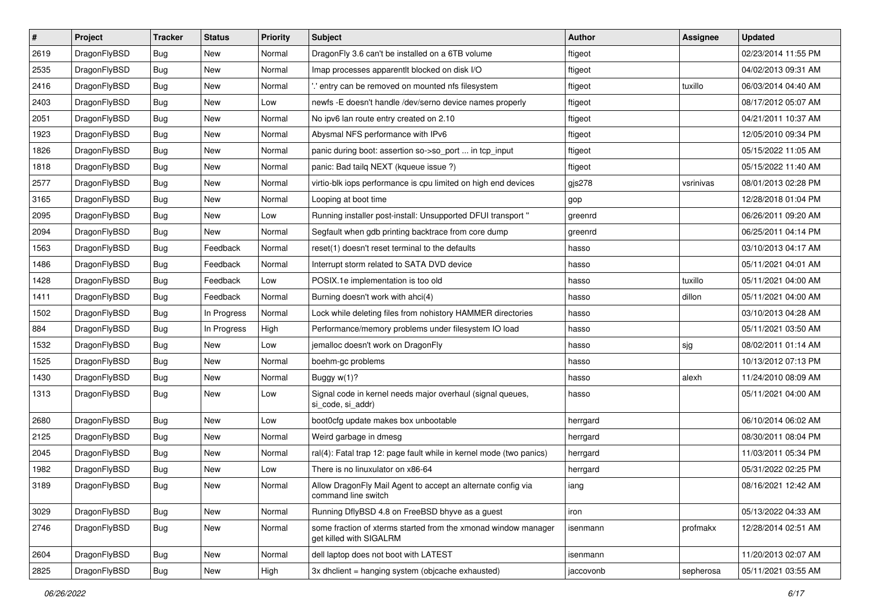| $\sharp$ | Project      | <b>Tracker</b> | <b>Status</b> | <b>Priority</b> | Subject                                                                                   | <b>Author</b> | Assignee  | <b>Updated</b>      |
|----------|--------------|----------------|---------------|-----------------|-------------------------------------------------------------------------------------------|---------------|-----------|---------------------|
| 2619     | DragonFlyBSD | <b>Bug</b>     | New           | Normal          | DragonFly 3.6 can't be installed on a 6TB volume                                          | ftigeot       |           | 02/23/2014 11:55 PM |
| 2535     | DragonFlyBSD | Bug            | <b>New</b>    | Normal          | Imap processes apparentlt blocked on disk I/O                                             | ftigeot       |           | 04/02/2013 09:31 AM |
| 2416     | DragonFlyBSD | <b>Bug</b>     | New           | Normal          | ".' entry can be removed on mounted nfs filesystem                                        | ftigeot       | tuxillo   | 06/03/2014 04:40 AM |
| 2403     | DragonFlyBSD | Bug            | <b>New</b>    | Low             | newfs -E doesn't handle /dev/serno device names properly                                  | ftigeot       |           | 08/17/2012 05:07 AM |
| 2051     | DragonFlyBSD | Bug            | <b>New</b>    | Normal          | No ipv6 lan route entry created on 2.10                                                   | ftigeot       |           | 04/21/2011 10:37 AM |
| 1923     | DragonFlyBSD | <b>Bug</b>     | <b>New</b>    | Normal          | Abysmal NFS performance with IPv6                                                         | ftigeot       |           | 12/05/2010 09:34 PM |
| 1826     | DragonFlyBSD | Bug            | New           | Normal          | panic during boot: assertion so->so_port  in tcp_input                                    | ftigeot       |           | 05/15/2022 11:05 AM |
| 1818     | DragonFlyBSD | <b>Bug</b>     | <b>New</b>    | Normal          | panic: Bad tailq NEXT (kqueue issue ?)                                                    | ftigeot       |           | 05/15/2022 11:40 AM |
| 2577     | DragonFlyBSD | <b>Bug</b>     | New           | Normal          | virtio-blk iops performance is cpu limited on high end devices                            | gjs278        | vsrinivas | 08/01/2013 02:28 PM |
| 3165     | DragonFlyBSD | Bug            | New           | Normal          | Looping at boot time                                                                      | gop           |           | 12/28/2018 01:04 PM |
| 2095     | DragonFlyBSD | Bug            | New           | Low             | Running installer post-install: Unsupported DFUI transport "                              | greenrd       |           | 06/26/2011 09:20 AM |
| 2094     | DragonFlyBSD | Bug            | <b>New</b>    | Normal          | Segfault when gdb printing backtrace from core dump                                       | greenrd       |           | 06/25/2011 04:14 PM |
| 1563     | DragonFlyBSD | Bug            | Feedback      | Normal          | reset(1) doesn't reset terminal to the defaults                                           | hasso         |           | 03/10/2013 04:17 AM |
| 1486     | DragonFlyBSD | <b>Bug</b>     | Feedback      | Normal          | Interrupt storm related to SATA DVD device                                                | hasso         |           | 05/11/2021 04:01 AM |
| 1428     | DragonFlyBSD | <b>Bug</b>     | Feedback      | Low             | POSIX.1e implementation is too old                                                        | hasso         | tuxillo   | 05/11/2021 04:00 AM |
| 1411     | DragonFlyBSD | <b>Bug</b>     | Feedback      | Normal          | Burning doesn't work with ahci(4)                                                         | hasso         | dillon    | 05/11/2021 04:00 AM |
| 1502     | DragonFlyBSD | Bug            | In Progress   | Normal          | Lock while deleting files from nohistory HAMMER directories                               | hasso         |           | 03/10/2013 04:28 AM |
| 884      | DragonFlyBSD | <b>Bug</b>     | In Progress   | High            | Performance/memory problems under filesystem IO load                                      | hasso         |           | 05/11/2021 03:50 AM |
| 1532     | DragonFlyBSD | Bug            | <b>New</b>    | Low             | jemalloc doesn't work on DragonFly                                                        | hasso         | sjg       | 08/02/2011 01:14 AM |
| 1525     | DragonFlyBSD | Bug            | New           | Normal          | boehm-gc problems                                                                         | hasso         |           | 10/13/2012 07:13 PM |
| 1430     | DragonFlyBSD | <b>Bug</b>     | <b>New</b>    | Normal          | Buggy w(1)?                                                                               | hasso         | alexh     | 11/24/2010 08:09 AM |
| 1313     | DragonFlyBSD | Bug            | New           | Low             | Signal code in kernel needs major overhaul (signal queues,<br>si code, si addr)           | hasso         |           | 05/11/2021 04:00 AM |
| 2680     | DragonFlyBSD | Bug            | <b>New</b>    | Low             | boot0cfg update makes box unbootable                                                      | herrgard      |           | 06/10/2014 06:02 AM |
| 2125     | DragonFlyBSD | Bug            | New           | Normal          | Weird garbage in dmesg                                                                    | herrgard      |           | 08/30/2011 08:04 PM |
| 2045     | DragonFlyBSD | <b>Bug</b>     | New           | Normal          | ral(4): Fatal trap 12: page fault while in kernel mode (two panics)                       | herrgard      |           | 11/03/2011 05:34 PM |
| 1982     | DragonFlyBSD | Bug            | <b>New</b>    | Low             | There is no linuxulator on x86-64                                                         | herrgard      |           | 05/31/2022 02:25 PM |
| 3189     | DragonFlyBSD | <b>Bug</b>     | <b>New</b>    | Normal          | Allow DragonFly Mail Agent to accept an alternate config via<br>command line switch       | iang          |           | 08/16/2021 12:42 AM |
| 3029     | DragonFlyBSD | <b>Bug</b>     | <b>New</b>    | Normal          | Running DflyBSD 4.8 on FreeBSD bhyve as a guest                                           | iron          |           | 05/13/2022 04:33 AM |
| 2746     | DragonFlyBSD | <b>Bug</b>     | <b>New</b>    | Normal          | some fraction of xterms started from the xmonad window manager<br>get killed with SIGALRM | isenmann      | profmakx  | 12/28/2014 02:51 AM |
| 2604     | DragonFlyBSD | Bug            | <b>New</b>    | Normal          | dell laptop does not boot with LATEST                                                     | isenmann      |           | 11/20/2013 02:07 AM |
| 2825     | DragonFlyBSD | <b>Bug</b>     | New           | High            | 3x dholient = hanging system (objoache exhausted)                                         | jaccovonb     | sepherosa | 05/11/2021 03:55 AM |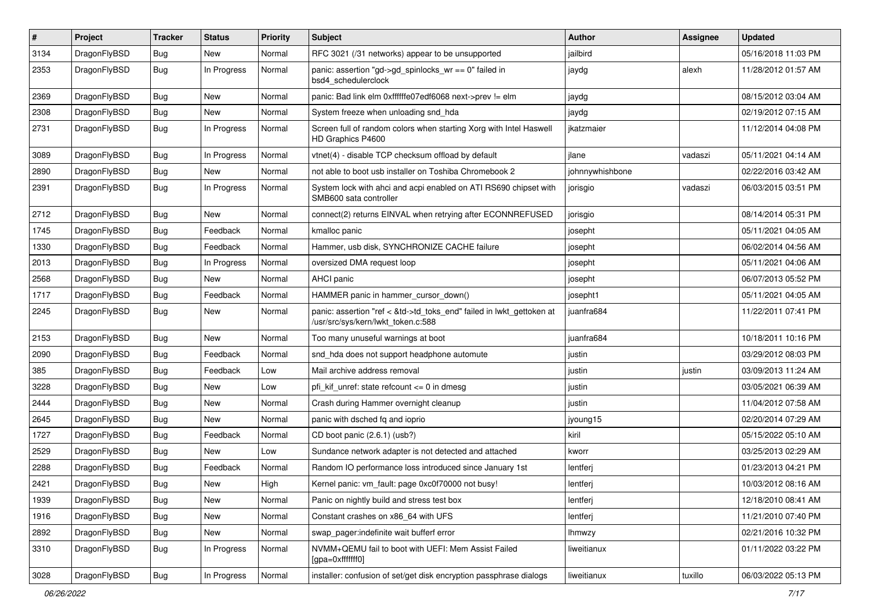| $\pmb{\#}$ | Project      | <b>Tracker</b> | <b>Status</b> | <b>Priority</b> | Subject                                                                                                    | <b>Author</b>   | Assignee | <b>Updated</b>      |
|------------|--------------|----------------|---------------|-----------------|------------------------------------------------------------------------------------------------------------|-----------------|----------|---------------------|
| 3134       | DragonFlyBSD | Bug            | New           | Normal          | RFC 3021 (/31 networks) appear to be unsupported                                                           | jailbird        |          | 05/16/2018 11:03 PM |
| 2353       | DragonFlyBSD | Bug            | In Progress   | Normal          | panic: assertion "gd->gd_spinlocks_wr == 0" failed in<br>bsd4_schedulerclock                               | jaydg           | alexh    | 11/28/2012 01:57 AM |
| 2369       | DragonFlyBSD | <b>Bug</b>     | <b>New</b>    | Normal          | panic: Bad link elm 0xffffffe07edf6068 next->prev != elm                                                   | jaydg           |          | 08/15/2012 03:04 AM |
| 2308       | DragonFlyBSD | Bug            | <b>New</b>    | Normal          | System freeze when unloading snd_hda                                                                       | jaydg           |          | 02/19/2012 07:15 AM |
| 2731       | DragonFlyBSD | Bug            | In Progress   | Normal          | Screen full of random colors when starting Xorg with Intel Haswell<br>HD Graphics P4600                    | jkatzmaier      |          | 11/12/2014 04:08 PM |
| 3089       | DragonFlyBSD | <b>Bug</b>     | In Progress   | Normal          | vtnet(4) - disable TCP checksum offload by default                                                         | ilane           | vadaszi  | 05/11/2021 04:14 AM |
| 2890       | DragonFlyBSD | Bug            | <b>New</b>    | Normal          | not able to boot usb installer on Toshiba Chromebook 2                                                     | johnnywhishbone |          | 02/22/2016 03:42 AM |
| 2391       | DragonFlyBSD | Bug            | In Progress   | Normal          | System lock with ahci and acpi enabled on ATI RS690 chipset with<br>SMB600 sata controller                 | jorisgio        | vadaszi  | 06/03/2015 03:51 PM |
| 2712       | DragonFlyBSD | <b>Bug</b>     | <b>New</b>    | Normal          | connect(2) returns EINVAL when retrying after ECONNREFUSED                                                 | jorisgio        |          | 08/14/2014 05:31 PM |
| 1745       | DragonFlyBSD | Bug            | Feedback      | Normal          | kmalloc panic                                                                                              | josepht         |          | 05/11/2021 04:05 AM |
| 1330       | DragonFlyBSD | Bug            | Feedback      | Normal          | Hammer, usb disk, SYNCHRONIZE CACHE failure                                                                | josepht         |          | 06/02/2014 04:56 AM |
| 2013       | DragonFlyBSD | Bug            | In Progress   | Normal          | oversized DMA request loop                                                                                 | josepht         |          | 05/11/2021 04:06 AM |
| 2568       | DragonFlyBSD | Bug            | New           | Normal          | AHCI panic                                                                                                 | josepht         |          | 06/07/2013 05:52 PM |
| 1717       | DragonFlyBSD | Bug            | Feedback      | Normal          | HAMMER panic in hammer cursor down()                                                                       | josepht1        |          | 05/11/2021 04:05 AM |
| 2245       | DragonFlyBSD | Bug            | New           | Normal          | panic: assertion "ref < &td->td_toks_end" failed in lwkt_gettoken at<br>/usr/src/sys/kern/lwkt_token.c:588 | juanfra684      |          | 11/22/2011 07:41 PM |
| 2153       | DragonFlyBSD | Bug            | New           | Normal          | Too many unuseful warnings at boot                                                                         | juanfra684      |          | 10/18/2011 10:16 PM |
| 2090       | DragonFlyBSD | Bug            | Feedback      | Normal          | snd hda does not support headphone automute                                                                | justin          |          | 03/29/2012 08:03 PM |
| 385        | DragonFlyBSD | Bug            | Feedback      | Low             | Mail archive address removal                                                                               | justin          | justin   | 03/09/2013 11:24 AM |
| 3228       | DragonFlyBSD | Bug            | New           | Low             | pfi_kif_unref: state refcount <= 0 in dmesg                                                                | justin          |          | 03/05/2021 06:39 AM |
| 2444       | DragonFlyBSD | Bug            | New           | Normal          | Crash during Hammer overnight cleanup                                                                      | justin          |          | 11/04/2012 07:58 AM |
| 2645       | DragonFlyBSD | Bug            | New           | Normal          | panic with dsched fq and ioprio                                                                            | jyoung15        |          | 02/20/2014 07:29 AM |
| 1727       | DragonFlyBSD | Bug            | Feedback      | Normal          | CD boot panic (2.6.1) (usb?)                                                                               | kiril           |          | 05/15/2022 05:10 AM |
| 2529       | DragonFlyBSD | <b>Bug</b>     | New           | Low             | Sundance network adapter is not detected and attached                                                      | kworr           |          | 03/25/2013 02:29 AM |
| 2288       | DragonFlyBSD | Bug            | Feedback      | Normal          | Random IO performance loss introduced since January 1st                                                    | lentferj        |          | 01/23/2013 04:21 PM |
| 2421       | DragonFlyBSD | <b>Bug</b>     | New           | High            | Kernel panic: vm_fault: page 0xc0f70000 not busy!                                                          | lentferj        |          | 10/03/2012 08:16 AM |
| 1939       | DragonFlyBSD | <b>Bug</b>     | New           | Normal          | Panic on nightly build and stress test box                                                                 | lentferj        |          | 12/18/2010 08:41 AM |
| 1916       | DragonFlyBSD | Bug            | New           | Normal          | Constant crashes on x86_64 with UFS                                                                        | lentferj        |          | 11/21/2010 07:40 PM |
| 2892       | DragonFlyBSD | <b>Bug</b>     | New           | Normal          | swap_pager:indefinite wait bufferf error                                                                   | <b>Ihmwzy</b>   |          | 02/21/2016 10:32 PM |
| 3310       | DragonFlyBSD | Bug            | In Progress   | Normal          | NVMM+QEMU fail to boot with UEFI: Mem Assist Failed<br>[gpa=0xfffffff0]                                    | liweitianux     |          | 01/11/2022 03:22 PM |
| 3028       | DragonFlyBSD | <b>Bug</b>     | In Progress   | Normal          | installer: confusion of set/get disk encryption passphrase dialogs                                         | liweitianux     | tuxillo  | 06/03/2022 05:13 PM |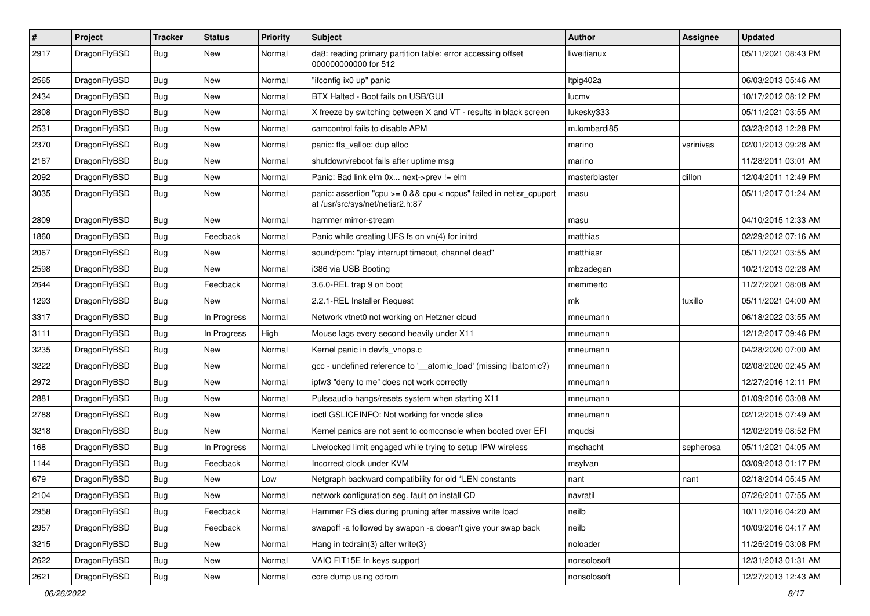| $\pmb{\#}$ | Project      | <b>Tracker</b> | <b>Status</b> | <b>Priority</b> | Subject                                                                                                 | <b>Author</b> | <b>Assignee</b> | <b>Updated</b>      |
|------------|--------------|----------------|---------------|-----------------|---------------------------------------------------------------------------------------------------------|---------------|-----------------|---------------------|
| 2917       | DragonFlyBSD | Bug            | New           | Normal          | da8: reading primary partition table: error accessing offset<br>000000000000 for 512                    | liweitianux   |                 | 05/11/2021 08:43 PM |
| 2565       | DragonFlyBSD | <b>Bug</b>     | <b>New</b>    | Normal          | "ifconfig ix0 up" panic                                                                                 | Itpig402a     |                 | 06/03/2013 05:46 AM |
| 2434       | DragonFlyBSD | Bug            | <b>New</b>    | Normal          | BTX Halted - Boot fails on USB/GUI                                                                      | lucmv         |                 | 10/17/2012 08:12 PM |
| 2808       | DragonFlyBSD | Bug            | <b>New</b>    | Normal          | X freeze by switching between X and VT - results in black screen                                        | lukesky333    |                 | 05/11/2021 03:55 AM |
| 2531       | DragonFlyBSD | <b>Bug</b>     | New           | Normal          | camcontrol fails to disable APM                                                                         | m.lombardi85  |                 | 03/23/2013 12:28 PM |
| 2370       | DragonFlyBSD | Bug            | New           | Normal          | panic: ffs_valloc: dup alloc                                                                            | marino        | vsrinivas       | 02/01/2013 09:28 AM |
| 2167       | DragonFlyBSD | Bug            | <b>New</b>    | Normal          | shutdown/reboot fails after uptime msq                                                                  | marino        |                 | 11/28/2011 03:01 AM |
| 2092       | DragonFlyBSD | Bug            | New           | Normal          | Panic: Bad link elm 0x next->prev != elm                                                                | masterblaster | dillon          | 12/04/2011 12:49 PM |
| 3035       | DragonFlyBSD | Bug            | New           | Normal          | panic: assertion "cpu >= 0 && cpu < ncpus" failed in netisr_cpuport<br>at /usr/src/sys/net/netisr2.h:87 | masu          |                 | 05/11/2017 01:24 AM |
| 2809       | DragonFlyBSD | Bug            | <b>New</b>    | Normal          | hammer mirror-stream                                                                                    | masu          |                 | 04/10/2015 12:33 AM |
| 1860       | DragonFlyBSD | Bug            | Feedback      | Normal          | Panic while creating UFS fs on vn(4) for initrd                                                         | matthias      |                 | 02/29/2012 07:16 AM |
| 2067       | DragonFlyBSD | Bug            | <b>New</b>    | Normal          | sound/pcm: "play interrupt timeout, channel dead"                                                       | matthiasr     |                 | 05/11/2021 03:55 AM |
| 2598       | DragonFlyBSD | Bug            | <b>New</b>    | Normal          | i386 via USB Booting                                                                                    | mbzadegan     |                 | 10/21/2013 02:28 AM |
| 2644       | DragonFlyBSD | Bug            | Feedback      | Normal          | 3.6.0-REL trap 9 on boot                                                                                | memmerto      |                 | 11/27/2021 08:08 AM |
| 1293       | DragonFlyBSD | Bug            | New           | Normal          | 2.2.1-REL Installer Request                                                                             | mk            | tuxillo         | 05/11/2021 04:00 AM |
| 3317       | DragonFlyBSD | Bug            | In Progress   | Normal          | Network vtnet0 not working on Hetzner cloud                                                             | mneumann      |                 | 06/18/2022 03:55 AM |
| 3111       | DragonFlyBSD | <b>Bug</b>     | In Progress   | High            | Mouse lags every second heavily under X11                                                               | mneumann      |                 | 12/12/2017 09:46 PM |
| 3235       | DragonFlyBSD | Bug            | <b>New</b>    | Normal          | Kernel panic in devfs_vnops.c                                                                           | mneumann      |                 | 04/28/2020 07:00 AM |
| 3222       | DragonFlyBSD | <b>Bug</b>     | New           | Normal          | gcc - undefined reference to '__atomic_load' (missing libatomic?)                                       | mneumann      |                 | 02/08/2020 02:45 AM |
| 2972       | DragonFlyBSD | Bug            | <b>New</b>    | Normal          | ipfw3 "deny to me" does not work correctly                                                              | mneumann      |                 | 12/27/2016 12:11 PM |
| 2881       | DragonFlyBSD | Bug            | New           | Normal          | Pulseaudio hangs/resets system when starting X11                                                        | mneumann      |                 | 01/09/2016 03:08 AM |
| 2788       | DragonFlyBSD | <b>Bug</b>     | New           | Normal          | ioctl GSLICEINFO: Not working for vnode slice                                                           | mneumann      |                 | 02/12/2015 07:49 AM |
| 3218       | DragonFlyBSD | Bug            | New           | Normal          | Kernel panics are not sent to comconsole when booted over EFI                                           | mqudsi        |                 | 12/02/2019 08:52 PM |
| 168        | DragonFlyBSD | <b>Bug</b>     | In Progress   | Normal          | Livelocked limit engaged while trying to setup IPW wireless                                             | mschacht      | sepherosa       | 05/11/2021 04:05 AM |
| 1144       | DragonFlyBSD | Bug            | Feedback      | Normal          | Incorrect clock under KVM                                                                               | msylvan       |                 | 03/09/2013 01:17 PM |
| 679        | DragonFlyBSD | Bug            | New           | Low             | Netgraph backward compatibility for old *LEN constants                                                  | nant          | nant            | 02/18/2014 05:45 AM |
| 2104       | DragonFlyBSD | <b>Bug</b>     | New           | Normal          | network configuration seg. fault on install CD                                                          | navratil      |                 | 07/26/2011 07:55 AM |
| 2958       | DragonFlyBSD | <b>Bug</b>     | Feedback      | Normal          | Hammer FS dies during pruning after massive write load                                                  | neilb         |                 | 10/11/2016 04:20 AM |
| 2957       | DragonFlyBSD | <b>Bug</b>     | Feedback      | Normal          | swapoff -a followed by swapon -a doesn't give your swap back                                            | neilb         |                 | 10/09/2016 04:17 AM |
| 3215       | DragonFlyBSD | Bug            | New           | Normal          | Hang in tcdrain(3) after write(3)                                                                       | noloader      |                 | 11/25/2019 03:08 PM |
| 2622       | DragonFlyBSD | <b>Bug</b>     | <b>New</b>    | Normal          | VAIO FIT15E fn keys support                                                                             | nonsolosoft   |                 | 12/31/2013 01:31 AM |
| 2621       | DragonFlyBSD | <b>Bug</b>     | New           | Normal          | core dump using cdrom                                                                                   | nonsolosoft   |                 | 12/27/2013 12:43 AM |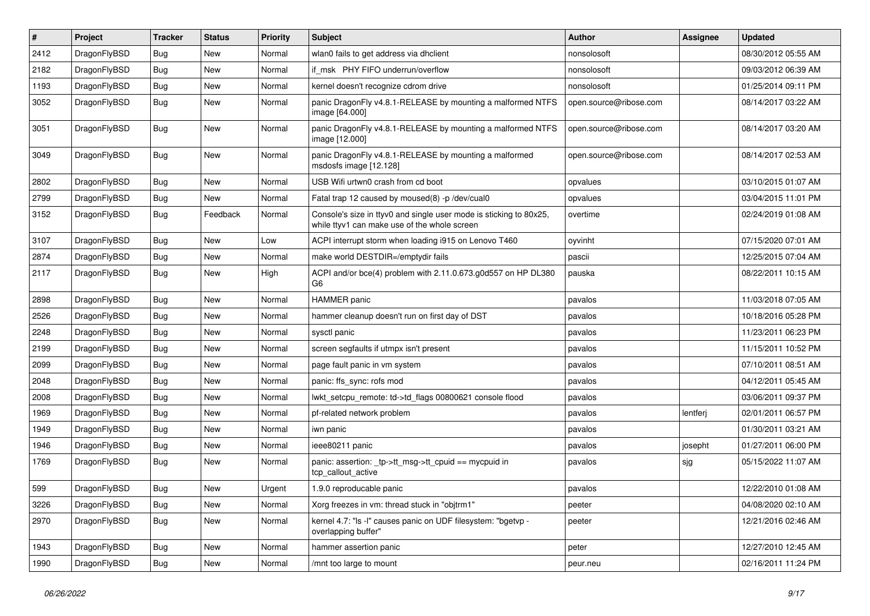| $\sharp$ | Project      | <b>Tracker</b> | <b>Status</b> | <b>Priority</b> | Subject                                                                                                            | <b>Author</b>          | <b>Assignee</b> | <b>Updated</b>      |
|----------|--------------|----------------|---------------|-----------------|--------------------------------------------------------------------------------------------------------------------|------------------------|-----------------|---------------------|
| 2412     | DragonFlyBSD | <b>Bug</b>     | New           | Normal          | wlan0 fails to get address via dhclient                                                                            | nonsolosoft            |                 | 08/30/2012 05:55 AM |
| 2182     | DragonFlyBSD | Bug            | <b>New</b>    | Normal          | if msk PHY FIFO underrun/overflow                                                                                  | nonsolosoft            |                 | 09/03/2012 06:39 AM |
| 1193     | DragonFlyBSD | <b>Bug</b>     | New           | Normal          | kernel doesn't recognize cdrom drive                                                                               | nonsolosoft            |                 | 01/25/2014 09:11 PM |
| 3052     | DragonFlyBSD | <b>Bug</b>     | New           | Normal          | panic DragonFly v4.8.1-RELEASE by mounting a malformed NTFS<br>image [64.000]                                      | open.source@ribose.com |                 | 08/14/2017 03:22 AM |
| 3051     | DragonFlyBSD | Bug            | New           | Normal          | panic DragonFly v4.8.1-RELEASE by mounting a malformed NTFS<br>image [12.000]                                      | open.source@ribose.com |                 | 08/14/2017 03:20 AM |
| 3049     | DragonFlyBSD | Bug            | <b>New</b>    | Normal          | panic DragonFly v4.8.1-RELEASE by mounting a malformed<br>msdosfs image [12.128]                                   | open.source@ribose.com |                 | 08/14/2017 02:53 AM |
| 2802     | DragonFlyBSD | Bug            | <b>New</b>    | Normal          | USB Wifi urtwn0 crash from cd boot                                                                                 | opvalues               |                 | 03/10/2015 01:07 AM |
| 2799     | DragonFlyBSD | <b>Bug</b>     | New           | Normal          | Fatal trap 12 caused by moused(8) -p/dev/cual0                                                                     | opvalues               |                 | 03/04/2015 11:01 PM |
| 3152     | DragonFlyBSD | <b>Bug</b>     | Feedback      | Normal          | Console's size in ttyv0 and single user mode is sticking to 80x25,<br>while ttyv1 can make use of the whole screen | overtime               |                 | 02/24/2019 01:08 AM |
| 3107     | DragonFlyBSD | Bug            | New           | Low             | ACPI interrupt storm when loading i915 on Lenovo T460                                                              | oyvinht                |                 | 07/15/2020 07:01 AM |
| 2874     | DragonFlyBSD | Bug            | New           | Normal          | make world DESTDIR=/emptydir fails                                                                                 | pascii                 |                 | 12/25/2015 07:04 AM |
| 2117     | DragonFlyBSD | Bug            | <b>New</b>    | High            | ACPI and/or bce(4) problem with 2.11.0.673.g0d557 on HP DL380<br>G6                                                | pauska                 |                 | 08/22/2011 10:15 AM |
| 2898     | DragonFlyBSD | Bug            | <b>New</b>    | Normal          | <b>HAMMER</b> panic                                                                                                | pavalos                |                 | 11/03/2018 07:05 AM |
| 2526     | DragonFlyBSD | <b>Bug</b>     | New           | Normal          | hammer cleanup doesn't run on first day of DST                                                                     | pavalos                |                 | 10/18/2016 05:28 PM |
| 2248     | DragonFlyBSD | <b>Bug</b>     | New           | Normal          | sysctl panic                                                                                                       | pavalos                |                 | 11/23/2011 06:23 PM |
| 2199     | DragonFlyBSD | <b>Bug</b>     | New           | Normal          | screen segfaults if utmpx isn't present                                                                            | pavalos                |                 | 11/15/2011 10:52 PM |
| 2099     | DragonFlyBSD | <b>Bug</b>     | New           | Normal          | page fault panic in vm system                                                                                      | pavalos                |                 | 07/10/2011 08:51 AM |
| 2048     | DragonFlyBSD | Bug            | <b>New</b>    | Normal          | panic: ffs_sync: rofs mod                                                                                          | pavalos                |                 | 04/12/2011 05:45 AM |
| 2008     | DragonFlyBSD | <b>Bug</b>     | <b>New</b>    | Normal          | lwkt setcpu remote: td->td flags 00800621 console flood                                                            | pavalos                |                 | 03/06/2011 09:37 PM |
| 1969     | DragonFlyBSD | <b>Bug</b>     | New           | Normal          | pf-related network problem                                                                                         | pavalos                | lentferj        | 02/01/2011 06:57 PM |
| 1949     | DragonFlyBSD | <b>Bug</b>     | <b>New</b>    | Normal          | iwn panic                                                                                                          | pavalos                |                 | 01/30/2011 03:21 AM |
| 1946     | DragonFlyBSD | <b>Bug</b>     | <b>New</b>    | Normal          | ieee80211 panic                                                                                                    | pavalos                | josepht         | 01/27/2011 06:00 PM |
| 1769     | DragonFlyBSD | <b>Bug</b>     | New           | Normal          | panic: assertion: _tp->tt_msg->tt_cpuid == mycpuid in<br>tcp callout active                                        | pavalos                | sjg             | 05/15/2022 11:07 AM |
| 599      | DragonFlyBSD | Bug            | <b>New</b>    | Urgent          | 1.9.0 reproducable panic                                                                                           | pavalos                |                 | 12/22/2010 01:08 AM |
| 3226     | DragonFlyBSD | <b>Bug</b>     | New           | Normal          | Xorg freezes in vm: thread stuck in "objtrm1"                                                                      | peeter                 |                 | 04/08/2020 02:10 AM |
| 2970     | DragonFlyBSD | <b>Bug</b>     | New           | Normal          | kernel 4.7: "Is -l" causes panic on UDF filesystem: "bgetvp -<br>overlapping buffer"                               | peeter                 |                 | 12/21/2016 02:46 AM |
| 1943     | DragonFlyBSD | Bug            | <b>New</b>    | Normal          | hammer assertion panic                                                                                             | peter                  |                 | 12/27/2010 12:45 AM |
| 1990     | DragonFlyBSD | Bug            | New           | Normal          | /mnt too large to mount                                                                                            | peur.neu               |                 | 02/16/2011 11:24 PM |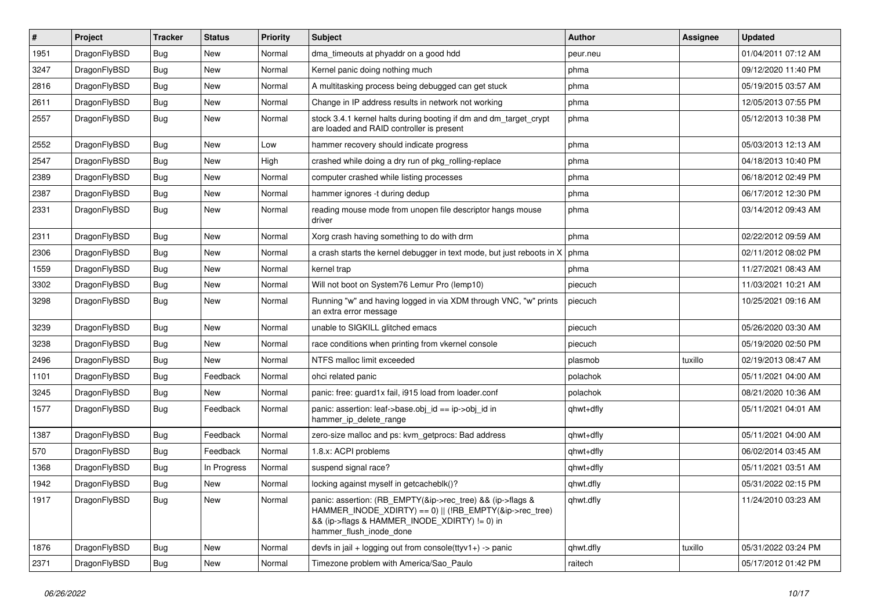| #    | Project      | <b>Tracker</b> | <b>Status</b> | <b>Priority</b> | Subject                                                                                                                                                                                           | <b>Author</b> | Assignee | <b>Updated</b>      |
|------|--------------|----------------|---------------|-----------------|---------------------------------------------------------------------------------------------------------------------------------------------------------------------------------------------------|---------------|----------|---------------------|
| 1951 | DragonFlyBSD | Bug            | <b>New</b>    | Normal          | dma_timeouts at phyaddr on a good hdd                                                                                                                                                             | peur.neu      |          | 01/04/2011 07:12 AM |
| 3247 | DragonFlyBSD | <b>Bug</b>     | <b>New</b>    | Normal          | Kernel panic doing nothing much                                                                                                                                                                   | phma          |          | 09/12/2020 11:40 PM |
| 2816 | DragonFlyBSD | <b>Bug</b>     | <b>New</b>    | Normal          | A multitasking process being debugged can get stuck                                                                                                                                               | phma          |          | 05/19/2015 03:57 AM |
| 2611 | DragonFlyBSD | Bug            | <b>New</b>    | Normal          | Change in IP address results in network not working                                                                                                                                               | phma          |          | 12/05/2013 07:55 PM |
| 2557 | DragonFlyBSD | <b>Bug</b>     | New           | Normal          | stock 3.4.1 kernel halts during booting if dm and dm_target_crypt<br>are loaded and RAID controller is present                                                                                    | phma          |          | 05/12/2013 10:38 PM |
| 2552 | DragonFlyBSD | Bug            | <b>New</b>    | Low             | hammer recovery should indicate progress                                                                                                                                                          | phma          |          | 05/03/2013 12:13 AM |
| 2547 | DragonFlyBSD | <b>Bug</b>     | <b>New</b>    | High            | crashed while doing a dry run of pkg rolling-replace                                                                                                                                              | phma          |          | 04/18/2013 10:40 PM |
| 2389 | DragonFlyBSD | Bug            | <b>New</b>    | Normal          | computer crashed while listing processes                                                                                                                                                          | phma          |          | 06/18/2012 02:49 PM |
| 2387 | DragonFlyBSD | <b>Bug</b>     | <b>New</b>    | Normal          | hammer ignores -t during dedup                                                                                                                                                                    | phma          |          | 06/17/2012 12:30 PM |
| 2331 | DragonFlyBSD | <b>Bug</b>     | New           | Normal          | reading mouse mode from unopen file descriptor hangs mouse<br>driver                                                                                                                              | phma          |          | 03/14/2012 09:43 AM |
| 2311 | DragonFlyBSD | <b>Bug</b>     | <b>New</b>    | Normal          | Xorg crash having something to do with drm                                                                                                                                                        | phma          |          | 02/22/2012 09:59 AM |
| 2306 | DragonFlyBSD | <b>Bug</b>     | <b>New</b>    | Normal          | a crash starts the kernel debugger in text mode, but just reboots in X                                                                                                                            | phma          |          | 02/11/2012 08:02 PM |
| 1559 | DragonFlyBSD | <b>Bug</b>     | <b>New</b>    | Normal          | kernel trap                                                                                                                                                                                       | phma          |          | 11/27/2021 08:43 AM |
| 3302 | DragonFlyBSD | <b>Bug</b>     | <b>New</b>    | Normal          | Will not boot on System76 Lemur Pro (lemp10)                                                                                                                                                      | piecuch       |          | 11/03/2021 10:21 AM |
| 3298 | DragonFlyBSD | <b>Bug</b>     | New           | Normal          | Running "w" and having logged in via XDM through VNC, "w" prints<br>an extra error message                                                                                                        | piecuch       |          | 10/25/2021 09:16 AM |
| 3239 | DragonFlyBSD | Bug            | New           | Normal          | unable to SIGKILL glitched emacs                                                                                                                                                                  | piecuch       |          | 05/26/2020 03:30 AM |
| 3238 | DragonFlyBSD | Bug            | <b>New</b>    | Normal          | race conditions when printing from vkernel console                                                                                                                                                | piecuch       |          | 05/19/2020 02:50 PM |
| 2496 | DragonFlyBSD | Bug            | New           | Normal          | NTFS malloc limit exceeded                                                                                                                                                                        | plasmob       | tuxillo  | 02/19/2013 08:47 AM |
| 1101 | DragonFlyBSD | <b>Bug</b>     | Feedback      | Normal          | ohci related panic                                                                                                                                                                                | polachok      |          | 05/11/2021 04:00 AM |
| 3245 | DragonFlyBSD | <b>Bug</b>     | <b>New</b>    | Normal          | panic: free: guard1x fail, i915 load from loader.conf                                                                                                                                             | polachok      |          | 08/21/2020 10:36 AM |
| 1577 | DragonFlyBSD | <b>Bug</b>     | Feedback      | Normal          | panic: assertion: leaf->base.obj_id == ip->obj_id in<br>hammer_ip_delete_range                                                                                                                    | qhwt+dfly     |          | 05/11/2021 04:01 AM |
| 1387 | DragonFlyBSD | <b>Bug</b>     | Feedback      | Normal          | zero-size malloc and ps: kvm_getprocs: Bad address                                                                                                                                                | qhwt+dfly     |          | 05/11/2021 04:00 AM |
| 570  | DragonFlyBSD | Bug            | Feedback      | Normal          | 1.8.x: ACPI problems                                                                                                                                                                              | qhwt+dfly     |          | 06/02/2014 03:45 AM |
| 1368 | DragonFlyBSD | <b>Bug</b>     | In Progress   | Normal          | suspend signal race?                                                                                                                                                                              | qhwt+dfly     |          | 05/11/2021 03:51 AM |
| 1942 | DragonFlyBSD | Bug            | New           | Normal          | locking against myself in getcacheblk()?                                                                                                                                                          | qhwt.dfly     |          | 05/31/2022 02:15 PM |
| 1917 | DragonFlyBSD | <b>Bug</b>     | New           | Normal          | panic: assertion: (RB_EMPTY(&ip->rec_tree) && (ip->flags &<br>HAMMER_INODE_XDIRTY) == 0)    (!RB_EMPTY(&ip->rec_tree)<br>&& (ip->flags & HAMMER_INODE_XDIRTY) != 0) in<br>hammer_flush_inode_done | qhwt.dfly     |          | 11/24/2010 03:23 AM |
| 1876 | DragonFlyBSD | <b>Bug</b>     | <b>New</b>    | Normal          | devfs in jail + logging out from console(ttyv1+) -> panic                                                                                                                                         | qhwt.dfly     | tuxillo  | 05/31/2022 03:24 PM |
| 2371 | DragonFlyBSD | Bug            | New           | Normal          | Timezone problem with America/Sao_Paulo                                                                                                                                                           | raitech       |          | 05/17/2012 01:42 PM |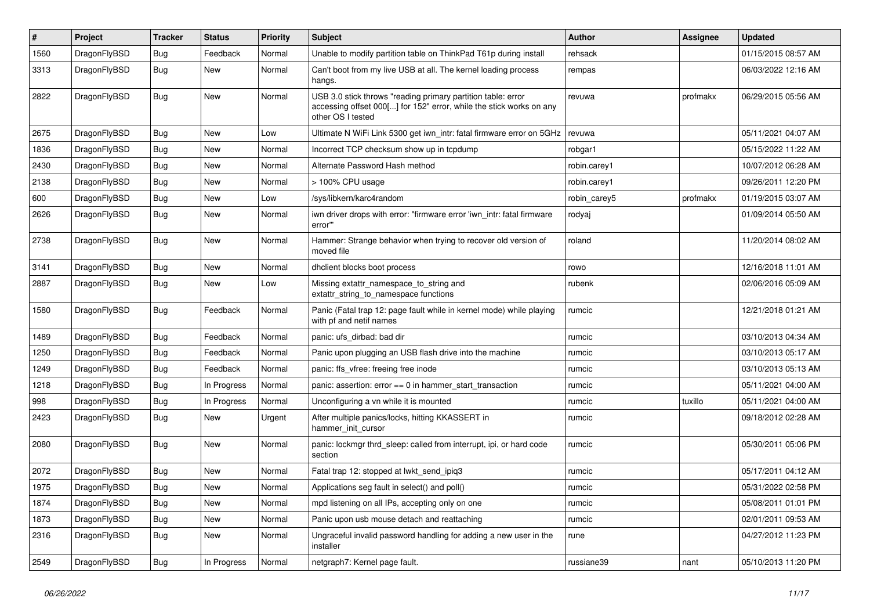| $\vert$ # | Project      | <b>Tracker</b> | <b>Status</b> | <b>Priority</b> | <b>Subject</b>                                                                                                                                           | <b>Author</b> | Assignee | <b>Updated</b>      |
|-----------|--------------|----------------|---------------|-----------------|----------------------------------------------------------------------------------------------------------------------------------------------------------|---------------|----------|---------------------|
| 1560      | DragonFlyBSD | Bug            | Feedback      | Normal          | Unable to modify partition table on ThinkPad T61p during install                                                                                         | rehsack       |          | 01/15/2015 08:57 AM |
| 3313      | DragonFlyBSD | Bug            | New           | Normal          | Can't boot from my live USB at all. The kernel loading process<br>hangs.                                                                                 | rempas        |          | 06/03/2022 12:16 AM |
| 2822      | DragonFlyBSD | <b>Bug</b>     | <b>New</b>    | Normal          | USB 3.0 stick throws "reading primary partition table: error<br>accessing offset 000[] for 152" error, while the stick works on any<br>other OS I tested | revuwa        | profmakx | 06/29/2015 05:56 AM |
| 2675      | DragonFlyBSD | Bug            | New           | Low             | Ultimate N WiFi Link 5300 get iwn intr: fatal firmware error on 5GHz                                                                                     | revuwa        |          | 05/11/2021 04:07 AM |
| 1836      | DragonFlyBSD | Bug            | New           | Normal          | Incorrect TCP checksum show up in tcpdump                                                                                                                | robgar1       |          | 05/15/2022 11:22 AM |
| 2430      | DragonFlyBSD | Bug            | New           | Normal          | Alternate Password Hash method                                                                                                                           | robin.carey1  |          | 10/07/2012 06:28 AM |
| 2138      | DragonFlyBSD | Bug            | New           | Normal          | > 100% CPU usage                                                                                                                                         | robin.carey1  |          | 09/26/2011 12:20 PM |
| 600       | DragonFlyBSD | <b>Bug</b>     | <b>New</b>    | Low             | /sys/libkern/karc4random                                                                                                                                 | robin_carey5  | profmakx | 01/19/2015 03:07 AM |
| 2626      | DragonFlyBSD | Bug            | <b>New</b>    | Normal          | iwn driver drops with error: "firmware error 'iwn intr: fatal firmware<br>error"                                                                         | rodyaj        |          | 01/09/2014 05:50 AM |
| 2738      | DragonFlyBSD | <b>Bug</b>     | <b>New</b>    | Normal          | Hammer: Strange behavior when trying to recover old version of<br>moved file                                                                             | roland        |          | 11/20/2014 08:02 AM |
| 3141      | DragonFlyBSD | Bug            | New           | Normal          | dhclient blocks boot process                                                                                                                             | rowo          |          | 12/16/2018 11:01 AM |
| 2887      | DragonFlyBSD | Bug            | New           | Low             | Missing extattr namespace to string and<br>extattr string to namespace functions                                                                         | rubenk        |          | 02/06/2016 05:09 AM |
| 1580      | DragonFlyBSD | <b>Bug</b>     | Feedback      | Normal          | Panic (Fatal trap 12: page fault while in kernel mode) while playing<br>with pf and netif names                                                          | rumcic        |          | 12/21/2018 01:21 AM |
| 1489      | DragonFlyBSD | <b>Bug</b>     | Feedback      | Normal          | panic: ufs dirbad: bad dir                                                                                                                               | rumcic        |          | 03/10/2013 04:34 AM |
| 1250      | DragonFlyBSD | <b>Bug</b>     | Feedback      | Normal          | Panic upon plugging an USB flash drive into the machine                                                                                                  | rumcic        |          | 03/10/2013 05:17 AM |
| 1249      | DragonFlyBSD | <b>Bug</b>     | Feedback      | Normal          | panic: ffs vfree: freeing free inode                                                                                                                     | rumcic        |          | 03/10/2013 05:13 AM |
| 1218      | DragonFlyBSD | <b>Bug</b>     | In Progress   | Normal          | panic: assertion: $error == 0$ in hammer start transaction                                                                                               | rumcic        |          | 05/11/2021 04:00 AM |
| 998       | DragonFlyBSD | Bug            | In Progress   | Normal          | Unconfiguring a vn while it is mounted                                                                                                                   | rumcic        | tuxillo  | 05/11/2021 04:00 AM |
| 2423      | DragonFlyBSD | <b>Bug</b>     | <b>New</b>    | Urgent          | After multiple panics/locks, hitting KKASSERT in<br>hammer init cursor                                                                                   | rumcic        |          | 09/18/2012 02:28 AM |
| 2080      | DragonFlyBSD | Bug            | New           | Normal          | panic: lockmgr thrd sleep: called from interrupt, ipi, or hard code<br>section                                                                           | rumcic        |          | 05/30/2011 05:06 PM |
| 2072      | DragonFlyBSD | <b>Bug</b>     | New           | Normal          | Fatal trap 12: stopped at lwkt_send_ipiq3                                                                                                                | rumcic        |          | 05/17/2011 04:12 AM |
| 1975      | DragonFlyBSD | <b>Bug</b>     | New           | Normal          | Applications seg fault in select() and poll()                                                                                                            | rumcic        |          | 05/31/2022 02:58 PM |
| 1874      | DragonFlyBSD | <b>Bug</b>     | New           | Normal          | mpd listening on all IPs, accepting only on one                                                                                                          | rumcic        |          | 05/08/2011 01:01 PM |
| 1873      | DragonFlyBSD | <b>Bug</b>     | <b>New</b>    | Normal          | Panic upon usb mouse detach and reattaching                                                                                                              | rumcic        |          | 02/01/2011 09:53 AM |
| 2316      | DragonFlyBSD | Bug            | <b>New</b>    | Normal          | Ungraceful invalid password handling for adding a new user in the<br>installer                                                                           | rune          |          | 04/27/2012 11:23 PM |
| 2549      | DragonFlyBSD | Bug            | In Progress   | Normal          | netgraph7: Kernel page fault.                                                                                                                            | russiane39    | nant     | 05/10/2013 11:20 PM |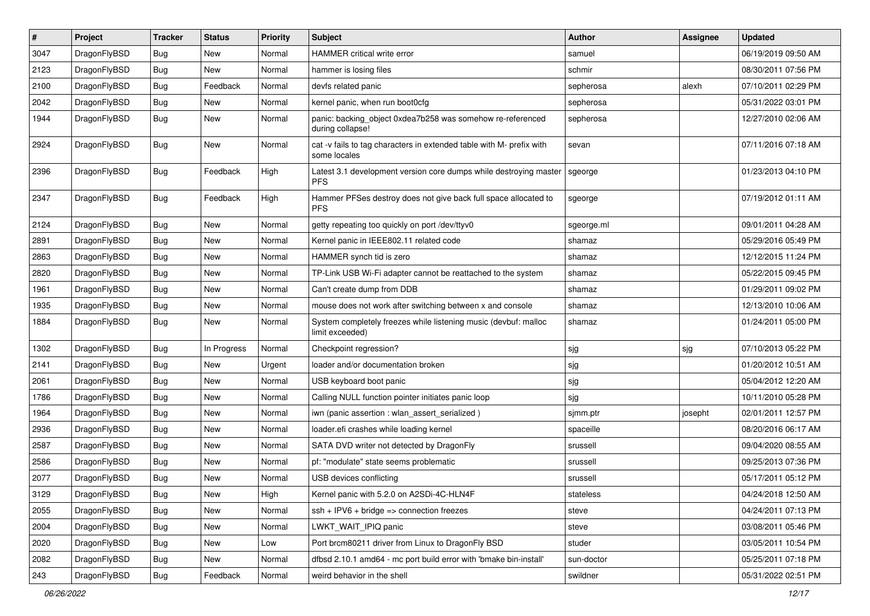| $\sharp$ | Project      | <b>Tracker</b> | <b>Status</b> | <b>Priority</b> | Subject                                                                              | <b>Author</b> | Assignee | <b>Updated</b>      |
|----------|--------------|----------------|---------------|-----------------|--------------------------------------------------------------------------------------|---------------|----------|---------------------|
| 3047     | DragonFlyBSD | <b>Bug</b>     | New           | Normal          | <b>HAMMER</b> critical write error                                                   | samuel        |          | 06/19/2019 09:50 AM |
| 2123     | DragonFlyBSD | Bug            | New           | Normal          | hammer is losing files                                                               | schmir        |          | 08/30/2011 07:56 PM |
| 2100     | DragonFlyBSD | <b>Bug</b>     | Feedback      | Normal          | devfs related panic                                                                  | sepherosa     | alexh    | 07/10/2011 02:29 PM |
| 2042     | DragonFlyBSD | <b>Bug</b>     | New           | Normal          | kernel panic, when run boot0cfg                                                      | sepherosa     |          | 05/31/2022 03:01 PM |
| 1944     | DragonFlyBSD | <b>Bug</b>     | <b>New</b>    | Normal          | panic: backing object 0xdea7b258 was somehow re-referenced<br>during collapse!       | sepherosa     |          | 12/27/2010 02:06 AM |
| 2924     | DragonFlyBSD | <b>Bug</b>     | New           | Normal          | cat -v fails to tag characters in extended table with M- prefix with<br>some locales | sevan         |          | 07/11/2016 07:18 AM |
| 2396     | DragonFlyBSD | <b>Bug</b>     | Feedback      | High            | Latest 3.1 development version core dumps while destroying master<br><b>PFS</b>      | sgeorge       |          | 01/23/2013 04:10 PM |
| 2347     | DragonFlyBSD | <b>Bug</b>     | Feedback      | High            | Hammer PFSes destroy does not give back full space allocated to<br><b>PFS</b>        | sgeorge       |          | 07/19/2012 01:11 AM |
| 2124     | DragonFlyBSD | <b>Bug</b>     | New           | Normal          | getty repeating too quickly on port /dev/ttyv0                                       | sgeorge.ml    |          | 09/01/2011 04:28 AM |
| 2891     | DragonFlyBSD | <b>Bug</b>     | New           | Normal          | Kernel panic in IEEE802.11 related code                                              | shamaz        |          | 05/29/2016 05:49 PM |
| 2863     | DragonFlyBSD | <b>Bug</b>     | New           | Normal          | HAMMER synch tid is zero                                                             | shamaz        |          | 12/12/2015 11:24 PM |
| 2820     | DragonFlyBSD | <b>Bug</b>     | New           | Normal          | TP-Link USB Wi-Fi adapter cannot be reattached to the system                         | shamaz        |          | 05/22/2015 09:45 PM |
| 1961     | DragonFlyBSD | <b>Bug</b>     | <b>New</b>    | Normal          | Can't create dump from DDB                                                           | shamaz        |          | 01/29/2011 09:02 PM |
| 1935     | DragonFlyBSD | <b>Bug</b>     | New           | Normal          | mouse does not work after switching between x and console                            | shamaz        |          | 12/13/2010 10:06 AM |
| 1884     | DragonFlyBSD | <b>Bug</b>     | <b>New</b>    | Normal          | System completely freezes while listening music (devbuf: malloc<br>limit exceeded)   | shamaz        |          | 01/24/2011 05:00 PM |
| 1302     | DragonFlyBSD | Bug            | In Progress   | Normal          | Checkpoint regression?                                                               | sjg           | sjg      | 07/10/2013 05:22 PM |
| 2141     | DragonFlyBSD | <b>Bug</b>     | <b>New</b>    | Urgent          | loader and/or documentation broken                                                   | sjg           |          | 01/20/2012 10:51 AM |
| 2061     | DragonFlyBSD | <b>Bug</b>     | <b>New</b>    | Normal          | USB keyboard boot panic                                                              | sjg           |          | 05/04/2012 12:20 AM |
| 1786     | DragonFlyBSD | <b>Bug</b>     | New           | Normal          | Calling NULL function pointer initiates panic loop                                   | sjg           |          | 10/11/2010 05:28 PM |
| 1964     | DragonFlyBSD | <b>Bug</b>     | <b>New</b>    | Normal          | iwn (panic assertion : wlan_assert_serialized)                                       | sjmm.ptr      | josepht  | 02/01/2011 12:57 PM |
| 2936     | DragonFlyBSD | <b>Bug</b>     | <b>New</b>    | Normal          | loader.efi crashes while loading kernel                                              | spaceille     |          | 08/20/2016 06:17 AM |
| 2587     | DragonFlyBSD | <b>Bug</b>     | New           | Normal          | SATA DVD writer not detected by DragonFly                                            | srussell      |          | 09/04/2020 08:55 AM |
| 2586     | DragonFlyBSD | <b>Bug</b>     | New           | Normal          | pf: "modulate" state seems problematic                                               | srussell      |          | 09/25/2013 07:36 PM |
| 2077     | DragonFlyBSD | <b>Bug</b>     | New           | Normal          | USB devices conflicting                                                              | srussell      |          | 05/17/2011 05:12 PM |
| 3129     | DragonFlyBSD | <b>Bug</b>     | New           | High            | Kernel panic with 5.2.0 on A2SDi-4C-HLN4F                                            | stateless     |          | 04/24/2018 12:50 AM |
| 2055     | DragonFlyBSD | <b>Bug</b>     | <b>New</b>    | Normal          | $ssh + IPV6 + bridge \Rightarrow$ connection freezes                                 | steve         |          | 04/24/2011 07:13 PM |
| 2004     | DragonFlyBSD | <b>Bug</b>     | New           | Normal          | LWKT_WAIT_IPIQ panic                                                                 | steve         |          | 03/08/2011 05:46 PM |
| 2020     | DragonFlyBSD | <b>Bug</b>     | New           | Low             | Port brcm80211 driver from Linux to DragonFly BSD                                    | studer        |          | 03/05/2011 10:54 PM |
| 2082     | DragonFlyBSD | <b>Bug</b>     | New           | Normal          | dfbsd 2.10.1 amd64 - mc port build error with 'bmake bin-install'                    | sun-doctor    |          | 05/25/2011 07:18 PM |
| 243      | DragonFlyBSD | <b>Bug</b>     | Feedback      | Normal          | weird behavior in the shell                                                          | swildner      |          | 05/31/2022 02:51 PM |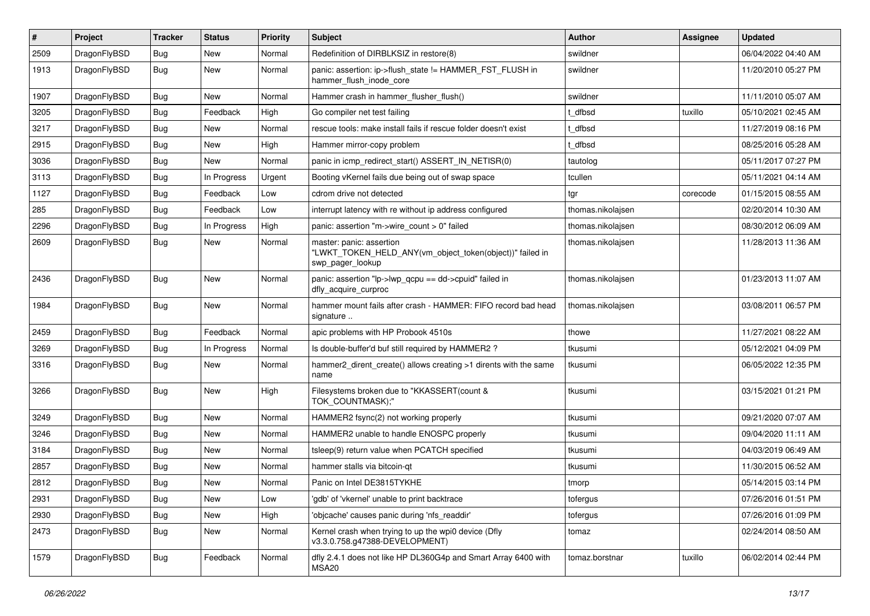| #    | Project      | <b>Tracker</b> | <b>Status</b> | <b>Priority</b> | Subject                                                                                                  | Author            | Assignee | <b>Updated</b>      |
|------|--------------|----------------|---------------|-----------------|----------------------------------------------------------------------------------------------------------|-------------------|----------|---------------------|
| 2509 | DragonFlyBSD | Bug            | <b>New</b>    | Normal          | Redefinition of DIRBLKSIZ in restore(8)                                                                  | swildner          |          | 06/04/2022 04:40 AM |
| 1913 | DragonFlyBSD | <b>Bug</b>     | New           | Normal          | panic: assertion: ip->flush_state != HAMMER_FST_FLUSH in<br>hammer flush inode core                      | swildner          |          | 11/20/2010 05:27 PM |
| 1907 | DragonFlyBSD | Bug            | New           | Normal          | Hammer crash in hammer_flusher_flush()                                                                   | swildner          |          | 11/11/2010 05:07 AM |
| 3205 | DragonFlyBSD | Bug            | Feedback      | High            | Go compiler net test failing                                                                             | t dfbsd           | tuxillo  | 05/10/2021 02:45 AM |
| 3217 | DragonFlyBSD | Bug            | New           | Normal          | rescue tools: make install fails if rescue folder doesn't exist                                          | t dfbsd           |          | 11/27/2019 08:16 PM |
| 2915 | DragonFlyBSD | Bug            | New           | High            | Hammer mirror-copy problem                                                                               | t_dfbsd           |          | 08/25/2016 05:28 AM |
| 3036 | DragonFlyBSD | Bug            | New           | Normal          | panic in icmp redirect start() ASSERT IN NETISR(0)                                                       | tautolog          |          | 05/11/2017 07:27 PM |
| 3113 | DragonFlyBSD | <b>Bug</b>     | In Progress   | Urgent          | Booting vKernel fails due being out of swap space                                                        | tcullen           |          | 05/11/2021 04:14 AM |
| 1127 | DragonFlyBSD | Bug            | Feedback      | Low             | cdrom drive not detected                                                                                 | tgr               | corecode | 01/15/2015 08:55 AM |
| 285  | DragonFlyBSD | Bug            | Feedback      | Low             | interrupt latency with re without ip address configured                                                  | thomas.nikolajsen |          | 02/20/2014 10:30 AM |
| 2296 | DragonFlyBSD | Bug            | In Progress   | High            | panic: assertion "m->wire_count > 0" failed                                                              | thomas.nikolajsen |          | 08/30/2012 06:09 AM |
| 2609 | DragonFlyBSD | Bug            | <b>New</b>    | Normal          | master: panic: assertion<br>"LWKT_TOKEN_HELD_ANY(vm_object_token(object))" failed in<br>swp_pager_lookup | thomas.nikolajsen |          | 11/28/2013 11:36 AM |
| 2436 | DragonFlyBSD | Bug            | <b>New</b>    | Normal          | panic: assertion "lp->lwp_qcpu == dd->cpuid" failed in<br>dfly_acquire_curproc                           | thomas.nikolajsen |          | 01/23/2013 11:07 AM |
| 1984 | DragonFlyBSD | <b>Bug</b>     | New           | Normal          | hammer mount fails after crash - HAMMER: FIFO record bad head<br>signature                               | thomas.nikolajsen |          | 03/08/2011 06:57 PM |
| 2459 | DragonFlyBSD | <b>Bug</b>     | Feedback      | Normal          | apic problems with HP Probook 4510s                                                                      | thowe             |          | 11/27/2021 08:22 AM |
| 3269 | DragonFlyBSD | Bug            | In Progress   | Normal          | Is double-buffer'd buf still required by HAMMER2 ?                                                       | tkusumi           |          | 05/12/2021 04:09 PM |
| 3316 | DragonFlyBSD | Bug            | <b>New</b>    | Normal          | hammer2 dirent create() allows creating >1 dirents with the same<br>name                                 | tkusumi           |          | 06/05/2022 12:35 PM |
| 3266 | DragonFlyBSD | Bug            | <b>New</b>    | High            | Filesystems broken due to "KKASSERT(count &<br>TOK_COUNTMASK);"                                          | tkusumi           |          | 03/15/2021 01:21 PM |
| 3249 | DragonFlyBSD | Bug            | <b>New</b>    | Normal          | HAMMER2 fsync(2) not working properly                                                                    | tkusumi           |          | 09/21/2020 07:07 AM |
| 3246 | DragonFlyBSD | Bug            | <b>New</b>    | Normal          | HAMMER2 unable to handle ENOSPC properly                                                                 | tkusumi           |          | 09/04/2020 11:11 AM |
| 3184 | DragonFlyBSD | Bug            | New           | Normal          | tsleep(9) return value when PCATCH specified                                                             | tkusumi           |          | 04/03/2019 06:49 AM |
| 2857 | DragonFlyBSD | Bug            | New           | Normal          | hammer stalls via bitcoin-gt                                                                             | tkusumi           |          | 11/30/2015 06:52 AM |
| 2812 | DragonFlyBSD | Bug            | <b>New</b>    | Normal          | Panic on Intel DE3815TYKHE                                                                               | tmorp             |          | 05/14/2015 03:14 PM |
| 2931 | DragonFlyBSD | <b>Bug</b>     | New           | Low             | 'gdb' of 'vkernel' unable to print backtrace                                                             | tofergus          |          | 07/26/2016 01:51 PM |
| 2930 | DragonFlyBSD | Bug            | New           | High            | 'obicache' causes panic during 'nfs readdir'                                                             | tofergus          |          | 07/26/2016 01:09 PM |
| 2473 | DragonFlyBSD | Bug            | New           | Normal          | Kernel crash when trying to up the wpi0 device (Dfly<br>v3.3.0.758.g47388-DEVELOPMENT)                   | tomaz             |          | 02/24/2014 08:50 AM |
| 1579 | DragonFlyBSD | <b>Bug</b>     | Feedback      | Normal          | dfly 2.4.1 does not like HP DL360G4p and Smart Array 6400 with<br>MSA20                                  | tomaz.borstnar    | tuxillo  | 06/02/2014 02:44 PM |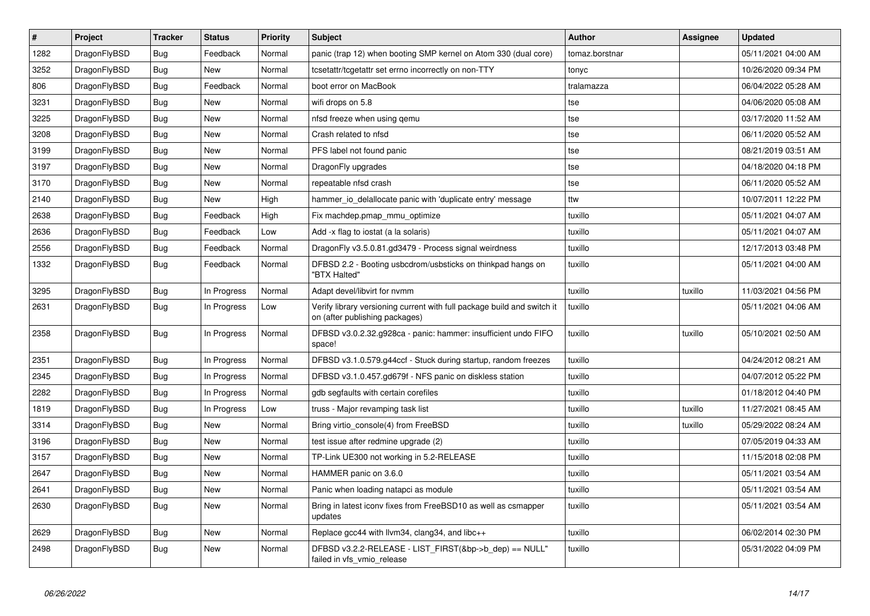| $\overline{\boldsymbol{H}}$ | Project      | <b>Tracker</b> | <b>Status</b> | <b>Priority</b> | <b>Subject</b>                                                                                            | <b>Author</b>  | <b>Assignee</b> | <b>Updated</b>      |
|-----------------------------|--------------|----------------|---------------|-----------------|-----------------------------------------------------------------------------------------------------------|----------------|-----------------|---------------------|
| 1282                        | DragonFlyBSD | <b>Bug</b>     | Feedback      | Normal          | panic (trap 12) when booting SMP kernel on Atom 330 (dual core)                                           | tomaz.borstnar |                 | 05/11/2021 04:00 AM |
| 3252                        | DragonFlyBSD | Bug            | <b>New</b>    | Normal          | tcsetattr/tcgetattr set errno incorrectly on non-TTY                                                      | tonyc          |                 | 10/26/2020 09:34 PM |
| 806                         | DragonFlyBSD | Bug            | Feedback      | Normal          | boot error on MacBook                                                                                     | tralamazza     |                 | 06/04/2022 05:28 AM |
| 3231                        | DragonFlyBSD | <b>Bug</b>     | <b>New</b>    | Normal          | wifi drops on 5.8                                                                                         | tse            |                 | 04/06/2020 05:08 AM |
| 3225                        | DragonFlyBSD | <b>Bug</b>     | <b>New</b>    | Normal          | nfsd freeze when using gemu                                                                               | tse            |                 | 03/17/2020 11:52 AM |
| 3208                        | DragonFlyBSD | <b>Bug</b>     | <b>New</b>    | Normal          | Crash related to nfsd                                                                                     | tse            |                 | 06/11/2020 05:52 AM |
| 3199                        | DragonFlyBSD | Bug            | New           | Normal          | PFS label not found panic                                                                                 | tse            |                 | 08/21/2019 03:51 AM |
| 3197                        | DragonFlyBSD | Bug            | New           | Normal          | DragonFly upgrades                                                                                        | tse            |                 | 04/18/2020 04:18 PM |
| 3170                        | DragonFlyBSD | Bug            | New           | Normal          | repeatable nfsd crash                                                                                     | tse            |                 | 06/11/2020 05:52 AM |
| 2140                        | DragonFlyBSD | <b>Bug</b>     | <b>New</b>    | High            | hammer_io_delallocate panic with 'duplicate entry' message                                                | ttw            |                 | 10/07/2011 12:22 PM |
| 2638                        | DragonFlyBSD | Bug            | Feedback      | High            | Fix machdep.pmap_mmu_optimize                                                                             | tuxillo        |                 | 05/11/2021 04:07 AM |
| 2636                        | DragonFlyBSD | Bug            | Feedback      | Low             | Add -x flag to iostat (a la solaris)                                                                      | tuxillo        |                 | 05/11/2021 04:07 AM |
| 2556                        | DragonFlyBSD | <b>Bug</b>     | Feedback      | Normal          | DragonFly v3.5.0.81.gd3479 - Process signal weirdness                                                     | tuxillo        |                 | 12/17/2013 03:48 PM |
| 1332                        | DragonFlyBSD | Bug            | Feedback      | Normal          | DFBSD 2.2 - Booting usbcdrom/usbsticks on thinkpad hangs on<br>"BTX Halted"                               | tuxillo        |                 | 05/11/2021 04:00 AM |
| 3295                        | DragonFlyBSD | Bug            | In Progress   | Normal          | Adapt devel/libvirt for nvmm                                                                              | tuxillo        | tuxillo         | 11/03/2021 04:56 PM |
| 2631                        | DragonFlyBSD | <b>Bug</b>     | In Progress   | Low             | Verify library versioning current with full package build and switch it<br>on (after publishing packages) | tuxillo        |                 | 05/11/2021 04:06 AM |
| 2358                        | DragonFlyBSD | Bug            | In Progress   | Normal          | DFBSD v3.0.2.32.g928ca - panic: hammer: insufficient undo FIFO<br>space!                                  | tuxillo        | tuxillo         | 05/10/2021 02:50 AM |
| 2351                        | DragonFlyBSD | <b>Bug</b>     | In Progress   | Normal          | DFBSD v3.1.0.579.g44ccf - Stuck during startup, random freezes                                            | tuxillo        |                 | 04/24/2012 08:21 AM |
| 2345                        | DragonFlyBSD | Bug            | In Progress   | Normal          | DFBSD v3.1.0.457.gd679f - NFS panic on diskless station                                                   | tuxillo        |                 | 04/07/2012 05:22 PM |
| 2282                        | DragonFlyBSD | Bug            | In Progress   | Normal          | gdb segfaults with certain corefiles                                                                      | tuxillo        |                 | 01/18/2012 04:40 PM |
| 1819                        | DragonFlyBSD | Bug            | In Progress   | Low             | truss - Major revamping task list                                                                         | tuxillo        | tuxillo         | 11/27/2021 08:45 AM |
| 3314                        | DragonFlyBSD | Bug            | <b>New</b>    | Normal          | Bring virtio console(4) from FreeBSD                                                                      | tuxillo        | tuxillo         | 05/29/2022 08:24 AM |
| 3196                        | DragonFlyBSD | Bug            | <b>New</b>    | Normal          | test issue after redmine upgrade (2)                                                                      | tuxillo        |                 | 07/05/2019 04:33 AM |
| 3157                        | DragonFlyBSD | Bug            | <b>New</b>    | Normal          | TP-Link UE300 not working in 5.2-RELEASE                                                                  | tuxillo        |                 | 11/15/2018 02:08 PM |
| 2647                        | DragonFlyBSD | Bug            | <b>New</b>    | Normal          | HAMMER panic on 3.6.0                                                                                     | tuxillo        |                 | 05/11/2021 03:54 AM |
| 2641                        | DragonFlyBSD | Bug            | New           | Normal          | Panic when loading natapci as module                                                                      | tuxillo        |                 | 05/11/2021 03:54 AM |
| 2630                        | DragonFlyBSD | Bug            | New           | Normal          | Bring in latest iconv fixes from FreeBSD10 as well as csmapper<br>updates                                 | tuxillo        |                 | 05/11/2021 03:54 AM |
| 2629                        | DragonFlyBSD | Bug            | New           | Normal          | Replace gcc44 with llvm34, clang34, and libc++                                                            | tuxillo        |                 | 06/02/2014 02:30 PM |
| 2498                        | DragonFlyBSD | Bug            | <b>New</b>    | Normal          | DFBSD v3.2.2-RELEASE - LIST_FIRST(&bp->b_dep) == NULL"<br>failed in vfs_vmio_release                      | tuxillo        |                 | 05/31/2022 04:09 PM |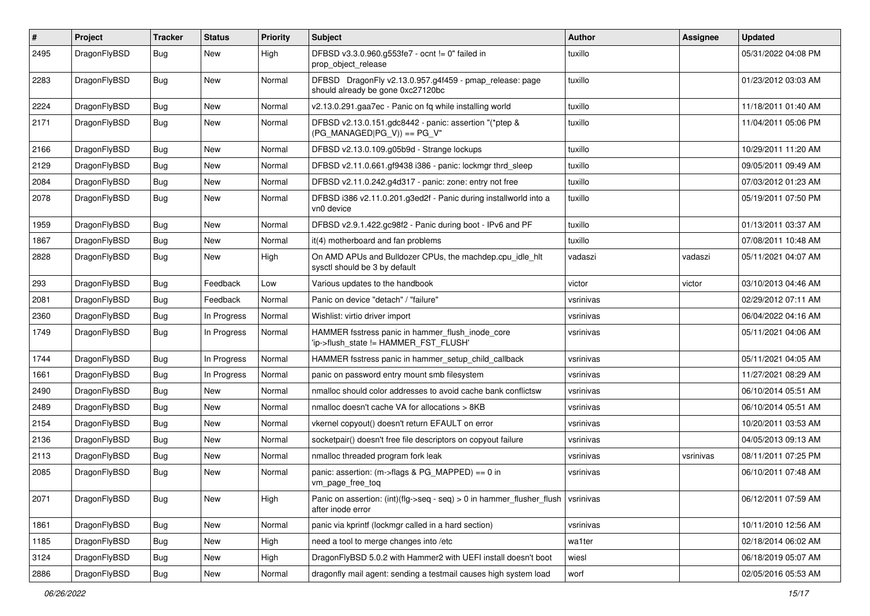| #    | Project      | <b>Tracker</b> | <b>Status</b> | <b>Priority</b> | Subject                                                                                                        | Author    | <b>Assignee</b> | <b>Updated</b>      |
|------|--------------|----------------|---------------|-----------------|----------------------------------------------------------------------------------------------------------------|-----------|-----------------|---------------------|
| 2495 | DragonFlyBSD | Bug            | New           | High            | DFBSD v3.3.0.960.g553fe7 - ocnt != 0" failed in<br>prop_object_release                                         | tuxillo   |                 | 05/31/2022 04:08 PM |
| 2283 | DragonFlyBSD | Bug            | <b>New</b>    | Normal          | DFBSD DragonFly v2.13.0.957.g4f459 - pmap_release: page<br>should already be gone 0xc27120bc                   | tuxillo   |                 | 01/23/2012 03:03 AM |
| 2224 | DragonFlyBSD | Bug            | <b>New</b>    | Normal          | v2.13.0.291.gaa7ec - Panic on fq while installing world                                                        | tuxillo   |                 | 11/18/2011 01:40 AM |
| 2171 | DragonFlyBSD | Bug            | New           | Normal          | DFBSD v2.13.0.151.gdc8442 - panic: assertion "(*ptep &<br>$(PG_MANAGED PG_V)) == PG_V"$                        | tuxillo   |                 | 11/04/2011 05:06 PM |
| 2166 | DragonFlyBSD | Bug            | New           | Normal          | DFBSD v2.13.0.109.g05b9d - Strange lockups                                                                     | tuxillo   |                 | 10/29/2011 11:20 AM |
| 2129 | DragonFlyBSD | <b>Bug</b>     | <b>New</b>    | Normal          | DFBSD v2.11.0.661.gf9438 i386 - panic: lockmgr thrd sleep                                                      | tuxillo   |                 | 09/05/2011 09:49 AM |
| 2084 | DragonFlyBSD | Bug            | <b>New</b>    | Normal          | DFBSD v2.11.0.242.g4d317 - panic: zone: entry not free                                                         | tuxillo   |                 | 07/03/2012 01:23 AM |
| 2078 | DragonFlyBSD | <b>Bug</b>     | New           | Normal          | DFBSD i386 v2.11.0.201.g3ed2f - Panic during installworld into a<br>vn0 device                                 | tuxillo   |                 | 05/19/2011 07:50 PM |
| 1959 | DragonFlyBSD | Bug            | <b>New</b>    | Normal          | DFBSD v2.9.1.422.gc98f2 - Panic during boot - IPv6 and PF                                                      | tuxillo   |                 | 01/13/2011 03:37 AM |
| 1867 | DragonFlyBSD | <b>Bug</b>     | New           | Normal          | it(4) motherboard and fan problems                                                                             | tuxillo   |                 | 07/08/2011 10:48 AM |
| 2828 | DragonFlyBSD | <b>Bug</b>     | New           | High            | On AMD APUs and Bulldozer CPUs, the machdep.cpu_idle_hlt<br>sysctl should be 3 by default                      | vadaszi   | vadaszi         | 05/11/2021 04:07 AM |
| 293  | DragonFlyBSD | Bug            | Feedback      | Low             | Various updates to the handbook                                                                                | victor    | victor          | 03/10/2013 04:46 AM |
| 2081 | DragonFlyBSD | Bug            | Feedback      | Normal          | Panic on device "detach" / "failure"                                                                           | vsrinivas |                 | 02/29/2012 07:11 AM |
| 2360 | DragonFlyBSD | <b>Bug</b>     | In Progress   | Normal          | Wishlist: virtio driver import                                                                                 | vsrinivas |                 | 06/04/2022 04:16 AM |
| 1749 | DragonFlyBSD | Bug            | In Progress   | Normal          | HAMMER fsstress panic in hammer_flush_inode_core<br>'ip->flush_state != HAMMER_FST_FLUSH'                      | vsrinivas |                 | 05/11/2021 04:06 AM |
| 1744 | DragonFlyBSD | Bug            | In Progress   | Normal          | HAMMER fsstress panic in hammer setup child callback                                                           | vsrinivas |                 | 05/11/2021 04:05 AM |
| 1661 | DragonFlyBSD | <b>Bug</b>     | In Progress   | Normal          | panic on password entry mount smb filesystem                                                                   | vsrinivas |                 | 11/27/2021 08:29 AM |
| 2490 | DragonFlyBSD | <b>Bug</b>     | <b>New</b>    | Normal          | nmalloc should color addresses to avoid cache bank conflictsw                                                  | vsrinivas |                 | 06/10/2014 05:51 AM |
| 2489 | DragonFlyBSD | <b>Bug</b>     | New           | Normal          | nmalloc doesn't cache VA for allocations > 8KB                                                                 | vsrinivas |                 | 06/10/2014 05:51 AM |
| 2154 | DragonFlyBSD | Bug            | <b>New</b>    | Normal          | vkernel copyout() doesn't return EFAULT on error                                                               | vsrinivas |                 | 10/20/2011 03:53 AM |
| 2136 | DragonFlyBSD | <b>Bug</b>     | New           | Normal          | socketpair() doesn't free file descriptors on copyout failure                                                  | vsrinivas |                 | 04/05/2013 09:13 AM |
| 2113 | DragonFlyBSD | <b>Bug</b>     | <b>New</b>    | Normal          | nmalloc threaded program fork leak                                                                             | vsrinivas | vsrinivas       | 08/11/2011 07:25 PM |
| 2085 | DragonFlyBSD | <b>Bug</b>     | New           | Normal          | panic: assertion: (m->flags & PG_MAPPED) == 0 in<br>vm_page_free_toq                                           | vsrinivas |                 | 06/10/2011 07:48 AM |
| 2071 | DragonFlyBSD | <b>Bug</b>     | New           | High            | Panic on assertion: $(int)(fig->seq - seq) > 0$ in hammer_flusher_flush $\vert$ vsrinivas<br>after inode error |           |                 | 06/12/2011 07:59 AM |
| 1861 | DragonFlyBSD | <b>Bug</b>     | New           | Normal          | panic via kprintf (lockmgr called in a hard section)                                                           | vsrinivas |                 | 10/11/2010 12:56 AM |
| 1185 | DragonFlyBSD | Bug            | New           | High            | need a tool to merge changes into /etc                                                                         | wa1ter    |                 | 02/18/2014 06:02 AM |
| 3124 | DragonFlyBSD | Bug            | New           | High            | DragonFlyBSD 5.0.2 with Hammer2 with UEFI install doesn't boot                                                 | wiesl     |                 | 06/18/2019 05:07 AM |
| 2886 | DragonFlyBSD | <b>Bug</b>     | New           | Normal          | dragonfly mail agent: sending a testmail causes high system load                                               | worf      |                 | 02/05/2016 05:53 AM |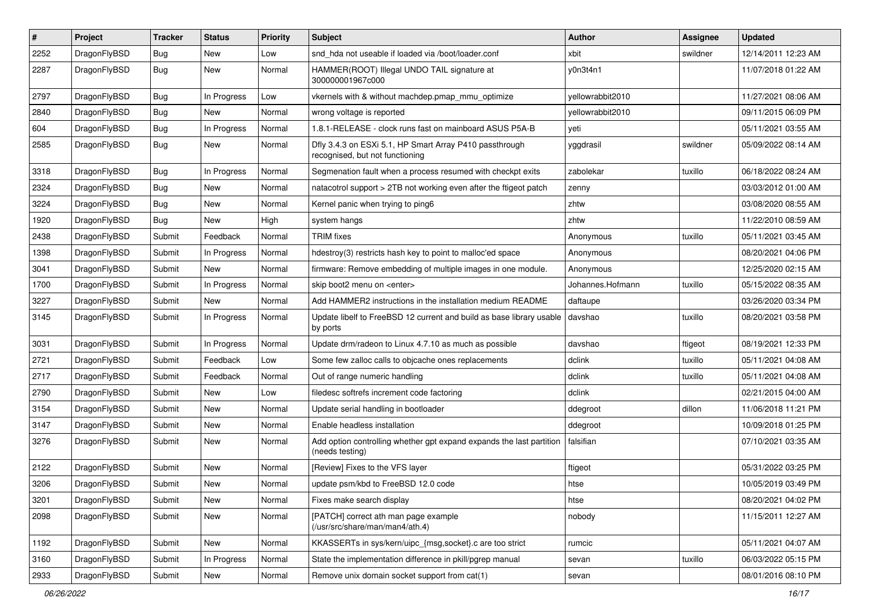| #    | Project      | <b>Tracker</b> | <b>Status</b> | <b>Priority</b> | Subject                                                                                    | Author           | Assignee | <b>Updated</b>      |
|------|--------------|----------------|---------------|-----------------|--------------------------------------------------------------------------------------------|------------------|----------|---------------------|
| 2252 | DragonFlyBSD | Bug            | New           | Low             | snd hda not useable if loaded via /boot/loader.conf                                        | xbit             | swildner | 12/14/2011 12:23 AM |
| 2287 | DragonFlyBSD | Bug            | New           | Normal          | HAMMER(ROOT) Illegal UNDO TAIL signature at<br>300000001967c000                            | y0n3t4n1         |          | 11/07/2018 01:22 AM |
| 2797 | DragonFlyBSD | Bug            | In Progress   | Low             | vkernels with & without machdep.pmap_mmu_optimize                                          | yellowrabbit2010 |          | 11/27/2021 08:06 AM |
| 2840 | DragonFlyBSD | Bug            | <b>New</b>    | Normal          | wrong voltage is reported                                                                  | yellowrabbit2010 |          | 09/11/2015 06:09 PM |
| 604  | DragonFlyBSD | <b>Bug</b>     | In Progress   | Normal          | 1.8.1-RELEASE - clock runs fast on mainboard ASUS P5A-B                                    | yeti             |          | 05/11/2021 03:55 AM |
| 2585 | DragonFlyBSD | Bug            | New           | Normal          | Dfly 3.4.3 on ESXi 5.1, HP Smart Array P410 passthrough<br>recognised, but not functioning | yggdrasil        | swildner | 05/09/2022 08:14 AM |
| 3318 | DragonFlyBSD | Bug            | In Progress   | Normal          | Segmenation fault when a process resumed with checkpt exits                                | zabolekar        | tuxillo  | 06/18/2022 08:24 AM |
| 2324 | DragonFlyBSD | Bug            | New           | Normal          | natacotrol support > 2TB not working even after the ftigeot patch                          | zenny            |          | 03/03/2012 01:00 AM |
| 3224 | DragonFlyBSD | <b>Bug</b>     | New           | Normal          | Kernel panic when trying to ping6                                                          | zhtw             |          | 03/08/2020 08:55 AM |
| 1920 | DragonFlyBSD | <b>Bug</b>     | New           | High            | system hangs                                                                               | zhtw             |          | 11/22/2010 08:59 AM |
| 2438 | DragonFlyBSD | Submit         | Feedback      | Normal          | <b>TRIM</b> fixes                                                                          | Anonymous        | tuxillo  | 05/11/2021 03:45 AM |
| 1398 | DragonFlyBSD | Submit         | In Progress   | Normal          | hdestroy(3) restricts hash key to point to malloc'ed space                                 | Anonymous        |          | 08/20/2021 04:06 PM |
| 3041 | DragonFlyBSD | Submit         | <b>New</b>    | Normal          | firmware: Remove embedding of multiple images in one module.                               | Anonymous        |          | 12/25/2020 02:15 AM |
| 1700 | DragonFlyBSD | Submit         | In Progress   | Normal          | skip boot2 menu on <enter></enter>                                                         | Johannes.Hofmann | tuxillo  | 05/15/2022 08:35 AM |
| 3227 | DragonFlyBSD | Submit         | New           | Normal          | Add HAMMER2 instructions in the installation medium README                                 | daftaupe         |          | 03/26/2020 03:34 PM |
| 3145 | DragonFlyBSD | Submit         | In Progress   | Normal          | Update libelf to FreeBSD 12 current and build as base library usable<br>by ports           | davshao          | tuxillo  | 08/20/2021 03:58 PM |
| 3031 | DragonFlyBSD | Submit         | In Progress   | Normal          | Update drm/radeon to Linux 4.7.10 as much as possible                                      | davshao          | ftigeot  | 08/19/2021 12:33 PM |
| 2721 | DragonFlyBSD | Submit         | Feedback      | Low             | Some few zalloc calls to objcache ones replacements                                        | dclink           | tuxillo  | 05/11/2021 04:08 AM |
| 2717 | DragonFlyBSD | Submit         | Feedback      | Normal          | Out of range numeric handling                                                              | dclink           | tuxillo  | 05/11/2021 04:08 AM |
| 2790 | DragonFlyBSD | Submit         | New           | Low             | filedesc softrefs increment code factoring                                                 | dclink           |          | 02/21/2015 04:00 AM |
| 3154 | DragonFlyBSD | Submit         | New           | Normal          | Update serial handling in bootloader                                                       | ddegroot         | dillon   | 11/06/2018 11:21 PM |
| 3147 | DragonFlyBSD | Submit         | New           | Normal          | Enable headless installation                                                               | ddegroot         |          | 10/09/2018 01:25 PM |
| 3276 | DragonFlyBSD | Submit         | New           | Normal          | Add option controlling whether gpt expand expands the last partition<br>(needs testing)    | falsifian        |          | 07/10/2021 03:35 AM |
| 2122 | DragonFlyBSD | Submit         | New           | Normal          | [Review] Fixes to the VFS layer                                                            | ftigeot          |          | 05/31/2022 03:25 PM |
| 3206 | DragonFlyBSD | Submit         | New           | Normal          | update psm/kbd to FreeBSD 12.0 code                                                        | htse             |          | 10/05/2019 03:49 PM |
| 3201 | DragonFlyBSD | Submit         | New           | Normal          | Fixes make search display                                                                  | htse             |          | 08/20/2021 04:02 PM |
| 2098 | DragonFlyBSD | Submit         | New           | Normal          | [PATCH] correct ath man page example<br>(/usr/src/share/man/man4/ath.4)                    | nobody           |          | 11/15/2011 12:27 AM |
| 1192 | DragonFlyBSD | Submit         | New           | Normal          | KKASSERTs in sys/kern/uipc_{msg,socket}.c are too strict                                   | rumcic           |          | 05/11/2021 04:07 AM |
| 3160 | DragonFlyBSD | Submit         | In Progress   | Normal          | State the implementation difference in pkill/pgrep manual                                  | sevan            | tuxillo  | 06/03/2022 05:15 PM |
| 2933 | DragonFlyBSD | Submit         | New           | Normal          | Remove unix domain socket support from cat(1)                                              | sevan            |          | 08/01/2016 08:10 PM |